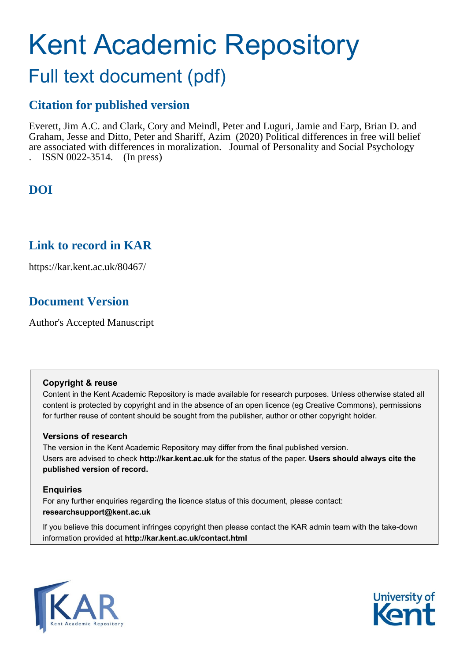# Kent Academic Repository

## Full text document (pdf)

## **Citation for published version**

Everett, Jim A.C. and Clark, Cory and Meindl, Peter and Luguri, Jamie and Earp, Brian D. and Graham, Jesse and Ditto, Peter and Shariff, Azim (2020) Political differences in free will belief are associated with differences in moralization. Journal of Personality and Social Psychology . ISSN 0022-3514. (In press)

## **DOI**

## **Link to record in KAR**

https://kar.kent.ac.uk/80467/

## **Document Version**

Author's Accepted Manuscript

#### **Copyright & reuse**

Content in the Kent Academic Repository is made available for research purposes. Unless otherwise stated all content is protected by copyright and in the absence of an open licence (eg Creative Commons), permissions for further reuse of content should be sought from the publisher, author or other copyright holder.

#### **Versions of research**

The version in the Kent Academic Repository may differ from the final published version. Users are advised to check **http://kar.kent.ac.uk** for the status of the paper. **Users should always cite the published version of record.**

#### **Enquiries**

For any further enquiries regarding the licence status of this document, please contact: **researchsupport@kent.ac.uk**

If you believe this document infringes copyright then please contact the KAR admin team with the take-down information provided at **http://kar.kent.ac.uk/contact.html**



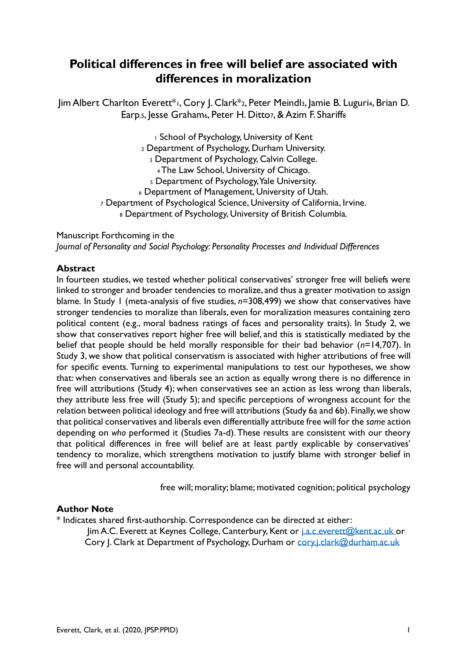## **Political differences in free will belief are associated with differences in moralization**

Jim Albert Charlton Everett\*1, Cory J. Clark\*2, Peter Meindl3, Jamie B. Luguri4, Brian D. Earp, 5, Jesse Graham<sub>6</sub>, Peter H. Dittoz, & Azim F. Shariff<sub>8</sub>

> School of Psychology, University of Kent Department of Psychology, Durham University. Department of Psychology, Calvin College. The Law School, University of Chicago. Department of Psychology, Yale University. Department of Management, University of Utah. Department of Psychological Science, University of California, Irvine. 8 Department of Psychology, University of British Columbia.

Manuscript Forthcoming in the *Journal of Personality and Social Psychology: Personality Processes and Individual Differences*

#### **Abstract**

In fourteen studies, we tested whether political conservatives' stronger free will beliefs were linked to stronger and broader tendencies to moralize, and thus a greater motivation to assign blame*.* In Study 1 (meta-analysis of five studies, *n*=308,499) we show that conservatives have stronger tendencies to moralize than liberals, even for moralization measures containing zero political content (e.g., moral badness ratings of faces and personality traits). In Study 2, we show that conservatives report higher free will belief, and this is statistically mediated by the belief that people should be held morally responsible for their bad behavior (*n*=14,707). In Study 3, we show that political conservatism is associated with higher attributions of free will for specific events. Turning to experimental manipulations to test our hypotheses, we show that: when conservatives and liberals see an action as equally wrong there is no difference in free will attributions (Study 4); when conservatives see an action as less wrong than liberals, they attribute less free will (Study 5); and specific perceptions of wrongness account for the relation between political ideology and free will attributions (Study 6a and 6b). Finally, we show that political conservatives and liberals even differentially attribute free will for the *same* action depending on *who* performed it (Studies 7a-d). These results are consistent with our theory that political differences in free will belief are at least partly explicable by conservatives' tendency to moralize, which strengthens motivation to justify blame with stronger belief in free will and personal accountability.

free will; morality; blame; motivated cognition; political psychology

#### **Author Note**

\* Indicates shared first-authorship. Correspondence can be directed at either:

Jim A.C. Everett at Keynes College, Canterbury, Kent or [j.a.c.everett@kent.ac.uk](mailto:j.a.c.everett@kent.ac.uk) or Cory J. Clark at Department of Psychology, Durham or [cory.j.clark@durham.ac.uk](mailto:cory.j.clark@durham.ac.uk)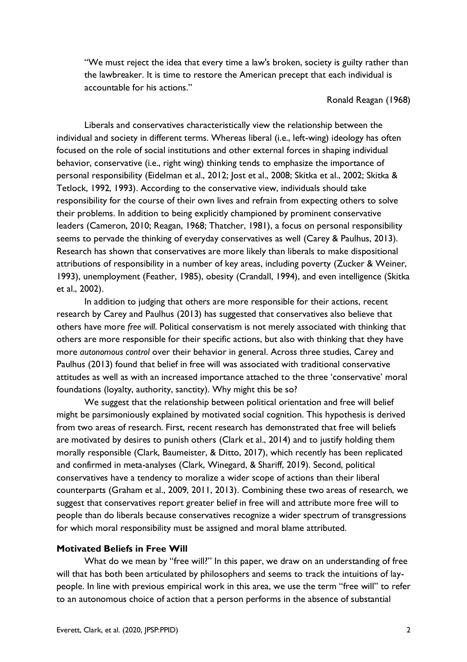"We must reject the idea that every time a law's broken, society is guilty rather than the lawbreaker. It is time to restore the American precept that each individual is accountable for his actions."

#### Ronald Reagan (1968)

Liberals and conservatives characteristically view the relationship between the individual and society in different terms. Whereas liberal (i.e., left-wing) ideology has often focused on the role of social institutions and other external forces in shaping individual behavior, conservative (i.e., right wing) thinking tends to emphasize the importance of personal responsibility (Eidelman et al., 2012; Jost et al., 2008; Skitka et al., 2002; Skitka & Tetlock, 1992, 1993). According to the conservative view, individuals should take responsibility for the course of their own lives and refrain from expecting others to solve their problems. In addition to being explicitly championed by prominent conservative leaders (Cameron, 2010; Reagan, 1968; Thatcher, 1981), a focus on personal responsibility seems to pervade the thinking of everyday conservatives as well (Carey & Paulhus, 2013). Research has shown that conservatives are more likely than liberals to make dispositional attributions of responsibility in a number of key areas, including poverty (Zucker & Weiner, 1993), unemployment (Feather, 1985), obesity (Crandall, 1994), and even intelligence (Skitka et al., 2002).

In addition to judging that others are more responsible for their actions, recent research by Carey and Paulhus (2013) has suggested that conservatives also believe that others have more *free will*. Political conservatism is not merely associated with thinking that others are more responsible for their specific actions, but also with thinking that they have more *autonomous control* over their behavior in general. Across three studies, Carey and Paulhus (2013) found that belief in free will was associated with traditional conservative attitudes as well as with an increased importance attached to the three 'conservative' moral foundations (loyalty, authority, sanctity). Why might this be so?

We suggest that the relationship between political orientation and free will belief might be parsimoniously explained by motivated social cognition. This hypothesis is derived from two areas of research. First, recent research has demonstrated that free will beliefs are motivated by desires to punish others (Clark et al., 2014) and to justify holding them morally responsible (Clark, Baumeister, & Ditto, 2017), which recently has been replicated and confirmed in meta-analyses (Clark, Winegard, & Shariff, 2019). Second, political conservatives have a tendency to moralize a wider scope of actions than their liberal counterparts (Graham et al., 2009, 2011, 2013). Combining these two areas of research, we suggest that conservatives report greater belief in free will and attribute more free will to people than do liberals because conservatives recognize a wider spectrum of transgressions for which moral responsibility must be assigned and moral blame attributed.

#### **Motivated Beliefs in Free Will**

What do we mean by "free will?" In this paper, we draw on an understanding of free will that has both been articulated by philosophers and seems to track the intuitions of laypeople. In line with previous empirical work in this area, we use the term "free will" to refer to an autonomous choice of action that a person performs in the absence of substantial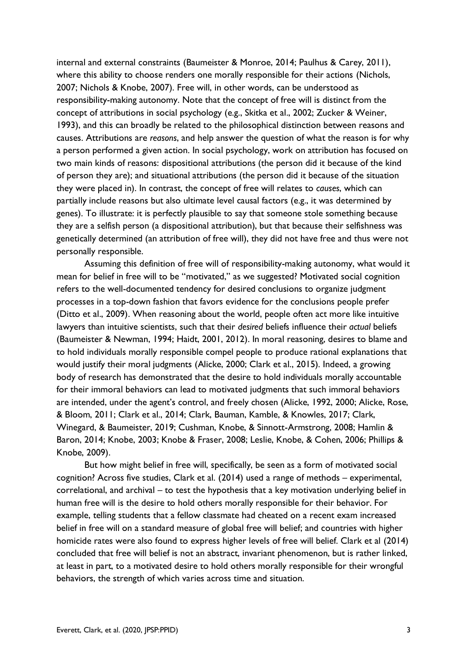internal and external constraints (Baumeister & Monroe, 2014; Paulhus & Carey, 2011), where this ability to choose renders one morally responsible for their actions (Nichols, 2007; Nichols & Knobe, 2007). Free will, in other words, can be understood as responsibility-making autonomy. Note that the concept of free will is distinct from the concept of attributions in social psychology (e.g., Skitka et al., 2002; Zucker & Weiner, 1993), and this can broadly be related to the philosophical distinction between reasons and causes. Attributions are *reasons*, and help answer the question of what the reason is for why a person performed a given action. In social psychology, work on attribution has focused on two main kinds of reasons: dispositional attributions (the person did it because of the kind of person they are); and situational attributions (the person did it because of the situation they were placed in). In contrast, the concept of free will relates to *causes*, which can partially include reasons but also ultimate level causal factors (e.g., it was determined by genes). To illustrate: it is perfectly plausible to say that someone stole something because they are a selfish person (a dispositional attribution), but that because their selfishness was genetically determined (an attribution of free will), they did not have free and thus were not personally responsible.

Assuming this definition of free will of responsibility-making autonomy, what would it mean for belief in free will to be "motivated," as we suggested? Motivated social cognition refers to the well-documented tendency for desired conclusions to organize judgment processes in a top-down fashion that favors evidence for the conclusions people prefer (Ditto et al., 2009). When reasoning about the world, people often act more like intuitive lawyers than intuitive scientists, such that their *desired* beliefs influence their *actual* beliefs (Baumeister & Newman, 1994; Haidt, 2001, 2012). In moral reasoning, desires to blame and to hold individuals morally responsible compel people to produce rational explanations that would justify their moral judgments (Alicke, 2000; Clark et al., 2015). Indeed, a growing body of research has demonstrated that the desire to hold individuals morally accountable for their immoral behaviors can lead to motivated judgments that such immoral behaviors are intended, under the agent's control, and freely chosen (Alicke, 1992, 2000; Alicke, Rose, & Bloom, 2011; Clark et al., 2014; Clark, Bauman, Kamble, & Knowles, 2017; Clark, Winegard, & Baumeister, 2019; Cushman, Knobe, & Sinnott-Armstrong, 2008; Hamlin & Baron, 2014; Knobe, 2003; Knobe & Fraser, 2008; Leslie, Knobe, & Cohen, 2006; Phillips & Knobe, 2009).

But how might belief in free will, specifically, be seen as a form of motivated social cognition? Across five studies, Clark et al. (2014) used a range of methods – experimental, correlational, and archival – to test the hypothesis that a key motivation underlying belief in human free will is the desire to hold others morally responsible for their behavior. For example, telling students that a fellow classmate had cheated on a recent exam increased belief in free will on a standard measure of global free will belief; and countries with higher homicide rates were also found to express higher levels of free will belief. Clark et al (2014) concluded that free will belief is not an abstract, invariant phenomenon, but is rather linked, at least in part, to a motivated desire to hold others morally responsible for their wrongful behaviors, the strength of which varies across time and situation.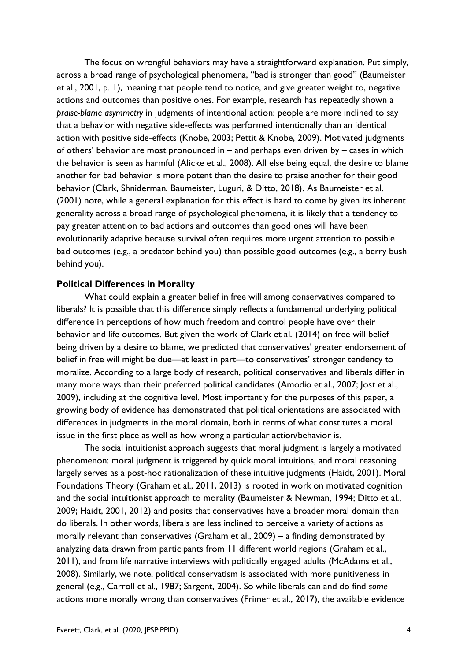The focus on wrongful behaviors may have a straightforward explanation. Put simply, across a broad range of psychological phenomena, "bad is stronger than good" (Baumeister et al., 2001, p. 1), meaning that people tend to notice, and give greater weight to, negative actions and outcomes than positive ones. For example, research has repeatedly shown a *praise-blame asymmetry* in judgments of intentional action: people are more inclined to say that a behavior with negative side-effects was performed intentionally than an identical action with positive side-effects (Knobe, 2003; Pettit & Knobe, 2009). Motivated judgments of others' behavior are most pronounced in – and perhaps even driven by – cases in which the behavior is seen as harmful (Alicke et al., 2008). All else being equal, the desire to blame another for bad behavior is more potent than the desire to praise another for their good behavior (Clark, Shniderman, Baumeister, Luguri, & Ditto, 2018). As Baumeister et al. (2001) note, while a general explanation for this effect is hard to come by given its inherent generality across a broad range of psychological phenomena, it is likely that a tendency to pay greater attention to bad actions and outcomes than good ones will have been evolutionarily adaptive because survival often requires more urgent attention to possible bad outcomes (e.g., a predator behind you) than possible good outcomes (e.g., a berry bush behind you).

#### **Political Differences in Morality**

What could explain a greater belief in free will among conservatives compared to liberals? It is possible that this difference simply reflects a fundamental underlying political difference in perceptions of how much freedom and control people have over their behavior and life outcomes. But given the work of Clark et al. (2014) on free will belief being driven by a desire to blame, we predicted that conservatives' greater endorsement of belief in free will might be due—at least in part—to conservatives' stronger tendency to moralize. According to a large body of research, political conservatives and liberals differ in many more ways than their preferred political candidates (Amodio et al., 2007; Jost et al., 2009), including at the cognitive level. Most importantly for the purposes of this paper, a growing body of evidence has demonstrated that political orientations are associated with differences in judgments in the moral domain, both in terms of what constitutes a moral issue in the first place as well as how wrong a particular action/behavior is.

The social intuitionist approach suggests that moral judgment is largely a motivated phenomenon: moral judgment is triggered by quick moral intuitions, and moral reasoning largely serves as a post-hoc rationalization of these intuitive judgments (Haidt, 2001). Moral Foundations Theory (Graham et al., 2011, 2013) is rooted in work on motivated cognition and the social intuitionist approach to morality (Baumeister & Newman, 1994; Ditto et al., 2009; Haidt, 2001, 2012) and posits that conservatives have a broader moral domain than do liberals. In other words, liberals are less inclined to perceive a variety of actions as morally relevant than conservatives (Graham et al., 2009) – a finding demonstrated by analyzing data drawn from participants from 11 different world regions (Graham et al., 2011), and from life narrative interviews with politically engaged adults (McAdams et al., 2008). Similarly, we note, political conservatism is associated with more punitiveness in general (e.g., Carroll et al., 1987; Sargent, 2004). So while liberals can and do find *some* actions more morally wrong than conservatives (Frimer et al., 2017), the available evidence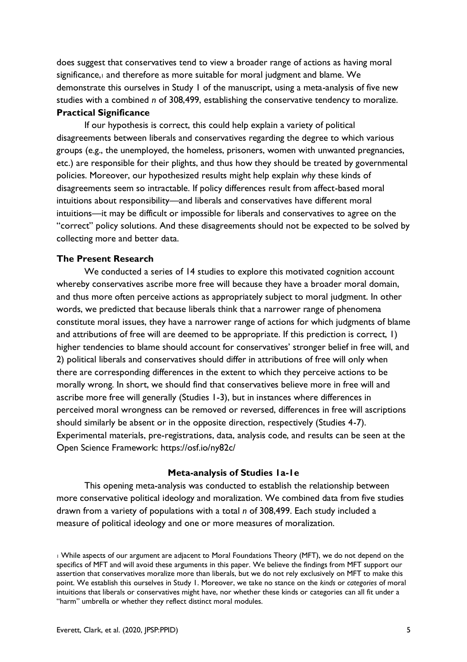does suggest that conservatives tend to view a broader range of actions as having moral significance, and therefore as more suitable for moral judgment and blame. We demonstrate this ourselves in Study 1 of the manuscript, using a meta-analysis of five new studies with a combined *n* of 308,499, establishing the conservative tendency to moralize. **Practical Significance**

If our hypothesis is correct, this could help explain a variety of political disagreements between liberals and conservatives regarding the degree to which various groups (e.g., the unemployed, the homeless, prisoners, women with unwanted pregnancies, etc.) are responsible for their plights, and thus how they should be treated by governmental policies. Moreover, our hypothesized results might help explain *why* these kinds of disagreements seem so intractable. If policy differences result from affect-based moral intuitions about responsibility—and liberals and conservatives have different moral intuitions—it may be difficult or impossible for liberals and conservatives to agree on the "correct" policy solutions. And these disagreements should not be expected to be solved by collecting more and better data.

#### **The Present Research**

We conducted a series of 14 studies to explore this motivated cognition account whereby conservatives ascribe more free will because they have a broader moral domain, and thus more often perceive actions as appropriately subject to moral judgment. In other words, we predicted that because liberals think that a narrower range of phenomena constitute moral issues, they have a narrower range of actions for which judgments of blame and attributions of free will are deemed to be appropriate. If this prediction is correct, 1) higher tendencies to blame should account for conservatives' stronger belief in free will, and 2) political liberals and conservatives should differ in attributions of free will only when there are corresponding differences in the extent to which they perceive actions to be morally wrong. In short, we should find that conservatives believe more in free will and ascribe more free will generally (Studies 1-3), but in instances where differences in perceived moral wrongness can be removed or reversed, differences in free will ascriptions should similarly be absent or in the opposite direction, respectively (Studies 4-7). Experimental materials, pre-registrations, data, analysis code, and results can be seen at the Open Science Framework: https://osf.io/ny82c/

#### **Meta-analysis of Studies 1a-1e**

This opening meta-analysis was conducted to establish the relationship between more conservative political ideology and moralization. We combined data from five studies drawn from a variety of populations with a total *n* of 308,499. Each study included a measure of political ideology and one or more measures of moralization.

<sup>1</sup> While aspects of our argument are adjacent to Moral Foundations Theory (MFT), we do not depend on the specifics of MFT and will avoid these arguments in this paper. We believe the findings from MFT support our assertion that conservatives moralize more than liberals, but we do not rely exclusively on MFT to make this point. We establish this ourselves in Study 1. Moreover, we take no stance on the *kinds* or *categories* of moral intuitions that liberals or conservatives might have, nor whether these kinds or categories can all fit under a "harm" umbrella or whether they reflect distinct moral modules.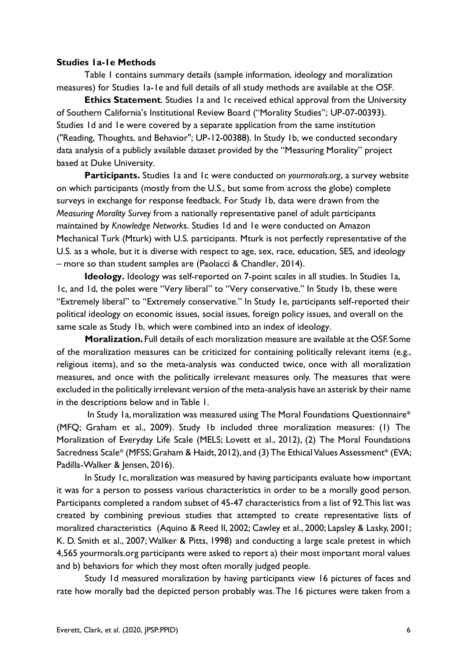#### **Studies 1a-1e Methods**

Table 1 contains summary details (sample information, ideology and moralization measures) for Studies 1a-1e and full details of all study methods are available at the OSF.

**Ethics Statement.** Studies 1a and 1c received ethical approval from the University of Southern California's Institutional Review Board ("Morality Studies"; UP-07-00393). Studies 1d and 1e were covered by a separate application from the same institution ("Reading, Thoughts, and Behavior"; UP-12-00388). In Study 1b, we conducted secondary data analysis of a publicly available dataset provided by the "Measuring Morality" project based at Duke University.

**Participants.** Studies 1a and 1c were conducted on *yourmorals.org*, a survey website on which participants (mostly from the U.S., but some from across the globe) complete surveys in exchange for response feedback. For Study 1b, data were drawn from the *Measuring Morality Survey* from a nationally representative panel of adult participants maintained by *Knowledge Network*s. Studies 1d and 1e were conducted on Amazon Mechanical Turk (Mturk) with U.S. participants. Mturk is not perfectly representative of the U.S. as a whole, but it is diverse with respect to age, sex, race, education, SES, and ideology – more so than student samples are (Paolacci & Chandler, 2014).

**Ideology.** Ideology was self-reported on 7-point scales in all studies. In Studies 1a, 1c, and 1d, the poles were "Very liberal" to "Very conservative." In Study 1b, these were "Extremely liberal" to "Extremely conservative." In Study 1e, participants self-reported their political ideology on economic issues, social issues, foreign policy issues, and overall on the same scale as Study 1b, which were combined into an index of ideology.

**Moralization.** Full details of each moralization measure are available at the OSF. Some of the moralization measures can be criticized for containing politically relevant items (e.g., religious items), and so the meta-analysis was conducted twice, once with all moralization measures, and once with the politically irrelevant measures only. The measures that were excluded in the politically irrelevant version of the meta-analysis have an asterisk by their name in the descriptions below and in Table 1.

In Study 1a, moralization was measured using The Moral Foundations Questionnaire\* (MFQ; Graham et al., 2009). Study 1b included three moralization measures: (1) The Moralization of Everyday Life Scale (MELS; Lovett et al., 2012), (2) The Moral Foundations Sacredness Scale\* (MFSS; Graham & Haidt, 2012), and (3) The Ethical Values Assessment\* (EVA; Padilla-Walker & Jensen, 2016).

In Study 1c, moralization was measured by having participants evaluate how important it was for a person to possess various characteristics in order to be a morally good person. Participants completed a random subset of 45-47 characteristics from a list of 92. This list was created by combining previous studies that attempted to create representative lists of moralized characteristics (Aquino & Reed II, 2002; Cawley et al., 2000; Lapsley & Lasky, 2001; K. D. Smith et al., 2007; Walker & Pitts, 1998) and conducting a large scale pretest in which 4,565 yourmorals.org participants were asked to report a) their most important moral values and b) behaviors for which they most often morally judged people.

Study 1d measured moralization by having participants view 16 pictures of faces and rate how morally bad the depicted person probably was. The 16 pictures were taken from a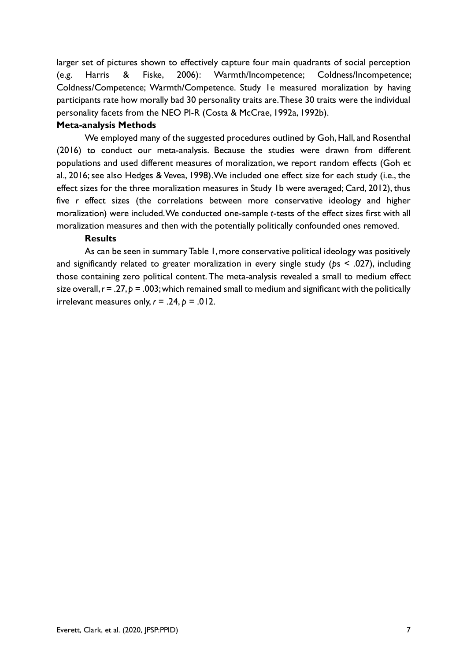larger set of pictures shown to effectively capture four main quadrants of social perception (e.g. Harris & Fiske, 2006): Warmth/Incompetence; Coldness/Incompetence; Coldness/Competence; Warmth/Competence. Study 1e measured moralization by having participants rate how morally bad 30 personality traits are. These 30 traits were the individual personality facets from the NEO PI-R (Costa & McCrae, 1992a, 1992b).

#### **Meta-analysis Methods**

We employed many of the suggested procedures outlined by Goh, Hall, and Rosenthal (2016) to conduct our meta-analysis. Because the studies were drawn from different populations and used different measures of moralization, we report random effects (Goh et al., 2016; see also Hedges & Vevea, 1998).We included one effect size for each study (i.e., the effect sizes for the three moralization measures in Study 1b were averaged; Card, 2012), thus five *r* effect sizes (the correlations between more conservative ideology and higher moralization) were included. We conducted one-sample *t*-tests of the effect sizes first with all moralization measures and then with the potentially politically confounded ones removed.

#### **Results**

As can be seen in summary Table 1, more conservative political ideology was positively and significantly related to greater moralization in every single study (*p*s < .027), including those containing zero political content. The meta-analysis revealed a small to medium effect size overall,  $r = .27$ ,  $p = .003$ ; which remained small to medium and significant with the politically irrelevant measures only,  $r = .24$ ,  $p = .012$ .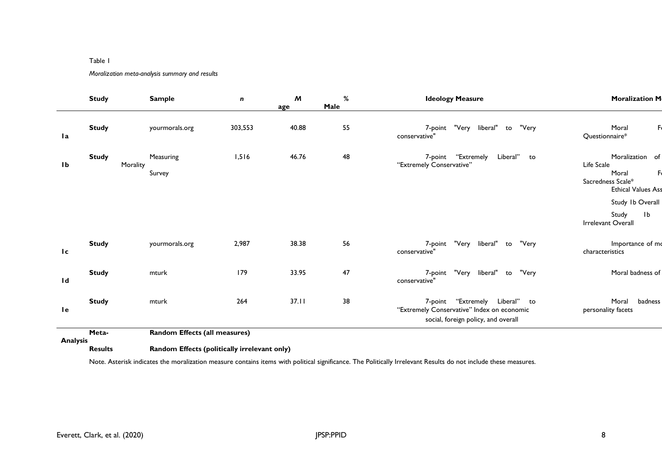#### Table 1

#### *Moralization meta-analysis summary and results*

|                 | <b>Study</b>             | <b>Sample</b>                 | n       | $\boldsymbol{M}$<br>age | $\%$<br>Male | <b>Ideology Measure</b>                                                                                                | <b>Moralization M</b>                                                                                                                   |
|-----------------|--------------------------|-------------------------------|---------|-------------------------|--------------|------------------------------------------------------------------------------------------------------------------------|-----------------------------------------------------------------------------------------------------------------------------------------|
| l a             | <b>Study</b>             | yourmorals.org                | 303,553 | 40.88                   | 55           | "Very<br>liberal"<br>"Very<br>7-point<br>to<br>conservative"                                                           | Moral<br>Questionnaire*                                                                                                                 |
| 1 <sub>b</sub>  | <b>Study</b><br>Morality | Measuring<br>Survey           | 1,516   | 46.76                   | 48           | "Extremely<br>Liberal" to<br>7-point<br>"Extremely Conservative"                                                       | Moralization of<br>Life Scale<br>Moral<br>Sacredness Scale*<br><b>Ethical Values Ass</b><br>Study 1b Overall<br>1 <sub>b</sub><br>Study |
| Ic.             | <b>Study</b>             | yourmorals.org                | 2,987   | 38.38                   | 56           | "Very<br>liberal"<br>"Very<br>7-point<br>to<br>conservative"                                                           | Irrelevant Overall<br>Importance of mo<br>characteristics                                                                               |
| 1d              | <b>Study</b>             | mturk                         | 179     | 33.95                   | 47           | 7-point "Very<br>liberal"<br>"Very<br>to<br>conservative"                                                              | Moral badness of                                                                                                                        |
| <b>le</b>       | <b>Study</b>             | mturk                         | 264     | 37.11                   | 38           | 7-point "Extremely Liberal"<br>to<br>"Extremely Conservative" Index on economic<br>social, foreign policy, and overall | Moral<br>badness<br>personality facets                                                                                                  |
| <b>Analysis</b> | Meta-                    | Random Effects (all measures) |         |                         |              |                                                                                                                        |                                                                                                                                         |

**Analysis Random Effects (politically irrelevant only)** 

Note. Asterisk indicates the moralization measure contains items with political significance. The Politically Irrelevant Results do not include these measures.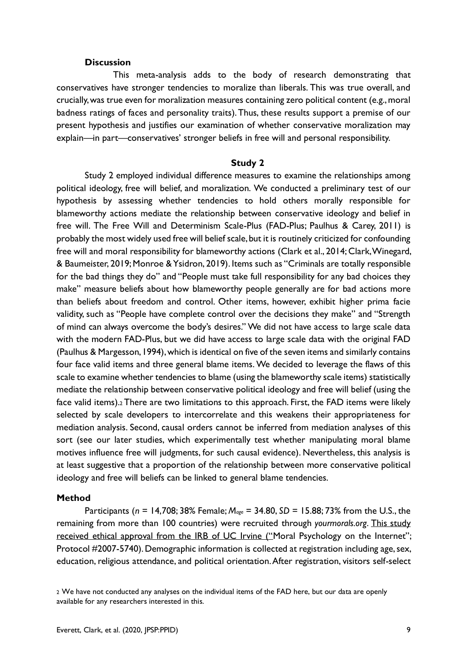#### **Discussion**

This meta-analysis adds to the body of research demonstrating that conservatives have stronger tendencies to moralize than liberals. This was true overall, and crucially, was true even for moralization measures containing zero political content (e.g., moral badness ratings of faces and personality traits). Thus, these results support a premise of our present hypothesis and justifies our examination of whether conservative moralization may explain—in part—conservatives' stronger beliefs in free will and personal responsibility.

#### **Study 2**

Study 2 employed individual difference measures to examine the relationships among political ideology, free will belief, and moralization. We conducted a preliminary test of our hypothesis by assessing whether tendencies to hold others morally responsible for blameworthy actions mediate the relationship between conservative ideology and belief in free will. The Free Will and Determinism Scale-Plus (FAD-Plus; Paulhus & Carey, 2011) is probably the most widely used free will belief scale, but it is routinely criticized for confounding free will and moral responsibility for blameworthy actions (Clark et al., 2014; Clark, Winegard, & Baumeister, 2019; Monroe & Ysidron, 2019). Items such as "Criminals are totally responsible for the bad things they do" and "People must take full responsibility for any bad choices they make" measure beliefs about how blameworthy people generally are for bad actions more than beliefs about freedom and control. Other items, however, exhibit higher prima facie validity, such as "People have complete control over the decisions they make" and "Strength of mind can always overcome the body's desires." We did not have access to large scale data with the modern FAD-Plus, but we did have access to large scale data with the original FAD (Paulhus & Margesson, 1994), which is identical on five of the seven items and similarly contains four face valid items and three general blame items. We decided to leverage the flaws of this scale to examine whether tendencies to blame (using the blameworthy scale items) statistically mediate the relationship between conservative political ideology and free will belief (using the face valid items).<sup>2</sup> There are two limitations to this approach. First, the FAD items were likely selected by scale developers to intercorrelate and this weakens their appropriateness for mediation analysis. Second, causal orders cannot be inferred from mediation analyses of this sort (see our later studies, which experimentally test whether manipulating moral blame motives influence free will judgments, for such causal evidence). Nevertheless, this analysis is at least suggestive that a proportion of the relationship between more conservative political ideology and free will beliefs can be linked to general blame tendencies.

#### **Method**

Participants (*n* = 14,708; 38% Female; *Mage* = 34.80, *SD* = 15.88; 73% from the U.S., the remaining from more than 100 countries) were recruited through *yourmorals.org*. This study received ethical approval from the IRB of UC Irvine ("Moral Psychology on the Internet"; Protocol #2007-5740). Demographic information is collected at registration including age, sex, education, religious attendance, and political orientation. After registration, visitors self-select

<sup>2</sup> We have not conducted any analyses on the individual items of the FAD here, but our data are openly available for any researchers interested in this.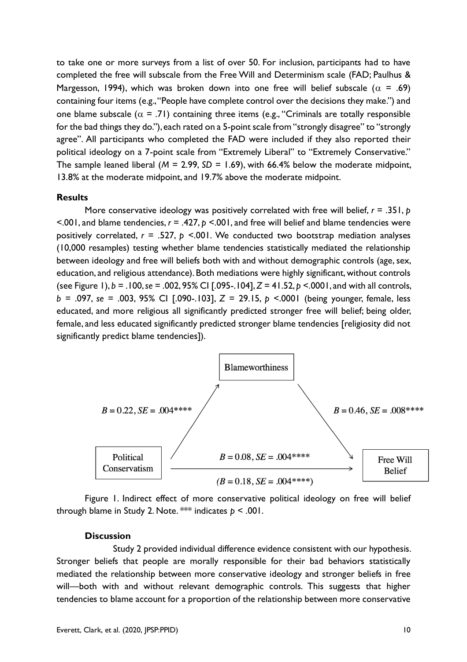to take one or more surveys from a list of over 50. For inclusion, participants had to have completed the free will subscale from the Free Will and Determinism scale (FAD; Paulhus & Margesson, 1994), which was broken down into one free will belief subscale ( $\alpha = .69$ ) containing four items (e.g., "People have complete control over the decisions they make.") and one blame subscale ( $\alpha$  = .71) containing three items (e.g., "Criminals are totally responsible for the bad things they do."), each rated on a 5-point scale from "strongly disagree" to "strongly agree". All participants who completed the FAD were included if they also reported their political ideology on a 7-point scale from "Extremely Liberal" to "Extremely Conservative." The sample leaned liberal (*M* = 2.99, *SD* = 1.69), with 66.4% below the moderate midpoint, 13.8% at the moderate midpoint, and 19.7% above the moderate midpoint.

#### **Results**

More conservative ideology was positively correlated with free will belief,  $r = .351$ , p <.001, and blame tendencies, *r* = .427, *p* <.001, and free will belief and blame tendencies were positively correlated, *r* = .527, *p* <.001. We conducted two bootstrap mediation analyses (10,000 resamples) testing whether blame tendencies statistically mediated the relationship between ideology and free will beliefs both with and without demographic controls (age, sex, education, and religious attendance). Both mediations were highly significant, without controls (see Figure 1), *b =* .100, *se* = .002, 95% CI [.095-.104], *Z =* 41.52, *p* <.0001, and with all controls, *b =* .097, *se* = .003, 95% CI [.090-.103], *Z =* 29.15, *p* <.0001 (being younger, female, less educated, and more religious all significantly predicted stronger free will belief; being older, female, and less educated significantly predicted stronger blame tendencies [religiosity did not significantly predict blame tendencies]).



Figure 1. Indirect effect of more conservative political ideology on free will belief through blame in Study 2. Note. \*\*\* indicates *p* < .001.

#### **Discussion**

Study 2 provided individual difference evidence consistent with our hypothesis. Stronger beliefs that people are morally responsible for their bad behaviors statistically mediated the relationship between more conservative ideology and stronger beliefs in free will—both with and without relevant demographic controls. This suggests that higher tendencies to blame account for a proportion of the relationship between more conservative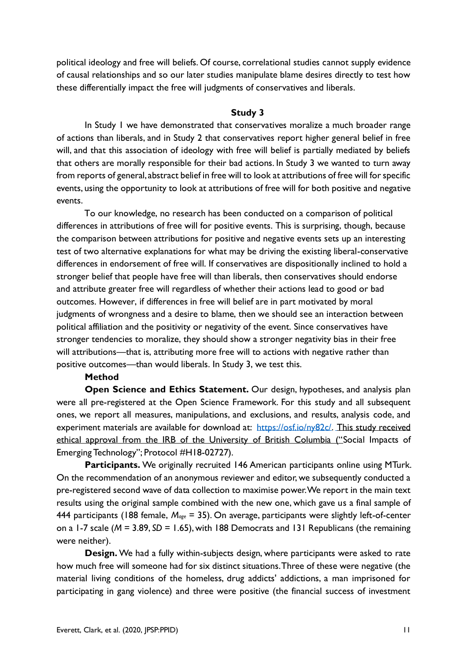political ideology and free will beliefs. Of course, correlational studies cannot supply evidence of causal relationships and so our later studies manipulate blame desires directly to test how these differentially impact the free will judgments of conservatives and liberals.

#### **Study 3**

In Study 1 we have demonstrated that conservatives moralize a much broader range of actions than liberals, and in Study 2 that conservatives report higher general belief in free will, and that this association of ideology with free will belief is partially mediated by beliefs that others are morally responsible for their bad actions. In Study 3 we wanted to turn away from reports of general, abstract belief in free will to look at attributions of free will for specific events, using the opportunity to look at attributions of free will for both positive and negative events.

To our knowledge, no research has been conducted on a comparison of political differences in attributions of free will for positive events. This is surprising, though, because the comparison between attributions for positive and negative events sets up an interesting test of two alternative explanations for what may be driving the existing liberal-conservative differences in endorsement of free will. If conservatives are dispositionally inclined to hold a stronger belief that people have free will than liberals, then conservatives should endorse and attribute greater free will regardless of whether their actions lead to good or bad outcomes. However, if differences in free will belief are in part motivated by moral judgments of wrongness and a desire to blame, then we should see an interaction between political affiliation and the positivity or negativity of the event. Since conservatives have stronger tendencies to moralize, they should show a stronger negativity bias in their free will attributions—that is, attributing more free will to actions with negative rather than positive outcomes—than would liberals. In Study 3, we test this.

#### **Method**

**Open Science and Ethics Statement.** Our design, hypotheses, and analysis plan were all pre-registered at the Open Science Framework. For this study and all subsequent ones, we report all measures, manipulations, and exclusions, and results, analysis code, and experiment materials are available for download at: [https://osf.io/ny82c/.](https://osf.io/ny82c/) This study received ethical approval from the IRB of the University of British Columbia ("Social Impacts of Emerging Technology"; Protocol #H18-02727).

**Participants.** We originally recruited 146 American participants online using MTurk. On the recommendation of an anonymous reviewer and editor, we subsequently conducted a pre-registered second wave of data collection to maximise power. We report in the main text results using the original sample combined with the new one, which gave us a final sample of 444 participants (188 female, *Mage* = 35). On average, participants were slightly left-of-center on a 1-7 scale (*M* = 3.89, *SD* = 1.65), with 188 Democrats and 131 Republicans (the remaining were neither).

**Design.** We had a fully within-subjects design, where participants were asked to rate how much free will someone had for six distinct situations. Three of these were negative (the material living conditions of the homeless, drug addicts' addictions, a man imprisoned for participating in gang violence) and three were positive (the financial success of investment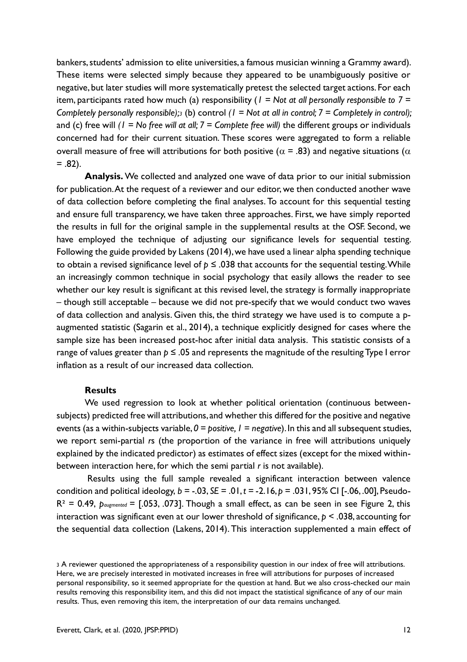bankers, students' admission to elite universities, a famous musician winning a Grammy award). These items were selected simply because they appeared to be unambiguously positive or negative, but later studies will more systematically pretest the selected target actions. For each item, participants rated how much (a) responsibility (*1 = Not at all personally responsible to 7 = Completely personally responsible);<sup>3</sup>* (b) control *(1 = Not at all in control; 7 = Completely in control);*  and (c) free will *(1 = No free will at all; 7 = Complete free will)* the different groups or individuals concerned had for their current situation. These scores were aggregated to form a reliable overall measure of free will attributions for both positive ( $\alpha$  = .83) and negative situations ( $\alpha$  $= .82$ ).

**Analysis.** We collected and analyzed one wave of data prior to our initial submission for publication. At the request of a reviewer and our editor, we then conducted another wave of data collection before completing the final analyses. To account for this sequential testing and ensure full transparency, we have taken three approaches. First, we have simply reported the results in full for the original sample in the supplemental results at the OSF. Second, we have employed the technique of adjusting our significance levels for sequential testing. Following the guide provided by Lakens (2014), we have used a linear alpha spending technique to obtain a revised significance level of  $p \leq 0.038$  that accounts for the sequential testing. While an increasingly common technique in social psychology that easily allows the reader to see whether our key result is significant at this revised level, the strategy is formally inappropriate – though still acceptable – because we did not pre-specify that we would conduct two waves of data collection and analysis. Given this, the third strategy we have used is to compute a paugmented statistic (Sagarin et al., 2014), a technique explicitly designed for cases where the sample size has been increased post-hoc after initial data analysis. This statistic consists of a range of values greater than  $p \leq 0.05$  and represents the magnitude of the resulting Type I error inflation as a result of our increased data collection.

#### **Results**

We used regression to look at whether political orientation (continuous betweensubjects) predicted free will attributions, and whether this differed for the positive and negative events (as a within-subjects variable, *0 = positive, 1 = negative*). In this and all subsequent studies, we report semi-partial *r*s (the proportion of the variance in free will attributions uniquely explained by the indicated predictor) as estimates of effect sizes (except for the mixed withinbetween interaction here, for which the semi partial *r* is not available).

Results using the full sample revealed a significant interaction between valence condition and political ideology,  $b = -.03$ ,  $SE = .01$ ,  $t = -2.16$ ,  $p = .031$ , 95% CI [-.06, .00], Pseudo-R² = 0.49, *paugmented* = [.053, .073]. Though a small effect, as can be seen in see Figure 2, this interaction was significant even at our lower threshold of significance, *p* < .038, accounting for the sequential data collection (Lakens, 2014). This interaction supplemented a main effect of

<sup>3</sup> A reviewer questioned the appropriateness of a responsibility question in our index of free will attributions. Here, we are precisely interested in motivated increases in free will attributions for purposes of increased personal responsibility, so it seemed appropriate for the question at hand. But we also cross-checked our main results removing this responsibility item, and this did not impact the statistical significance of any of our main results. Thus, even removing this item, the interpretation of our data remains unchanged.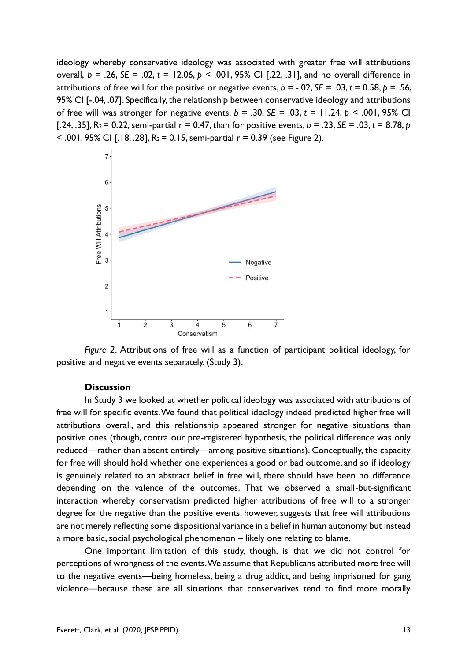ideology whereby conservative ideology was associated with greater free will attributions overall, *b* = .26, *SE* = .02, *t* = 12.06, *p* < .001, 95% CI [.22, .31], and no overall difference in attributions of free will for the positive or negative events,  $b = -.02$ ,  $SE = .03$ ,  $t = 0.58$ ,  $p = .56$ , 95% CI [-.04, .07]. Specifically, the relationship between conservative ideology and attributions of free will was stronger for negative events,  $b = .30$ ,  $SE = .03$ ,  $t = 11.24$ ,  $p < .001$ , 95% CI [.24, .35],  $R_2 = 0.22$ , semi-partial  $r = 0.47$ , than for positive events,  $b = .23$ ,  $SE = .03$ ,  $t = 8.78$ ,  $p = .03$  $<$  .001, 95% CI [.18, .28], R<sub>2</sub> = 0.15, semi-partial r = 0.39 (see Figure 2).





#### **Discussion**

In Study 3 we looked at whether political ideology was associated with attributions of free will for specific events. We found that political ideology indeed predicted higher free will attributions overall, and this relationship appeared stronger for negative situations than positive ones (though, contra our pre-registered hypothesis, the political difference was only reduced—rather than absent entirely—among positive situations). Conceptually, the capacity for free will should hold whether one experiences a good or bad outcome, and so if ideology is genuinely related to an abstract belief in free will, there should have been no difference depending on the valence of the outcomes. That we observed a small-but-significant interaction whereby conservatism predicted higher attributions of free will to a stronger degree for the negative than the positive events, however, suggests that free will attributions are not merely reflecting some dispositional variance in a belief in human autonomy, but instead a more basic, social psychological phenomenon – likely one relating to blame.

One important limitation of this study, though, is that we did not control for perceptions of wrongness of the events. We assume that Republicans attributed more free will to the negative events—being homeless, being a drug addict, and being imprisoned for gang violence—because these are all situations that conservatives tend to find more morally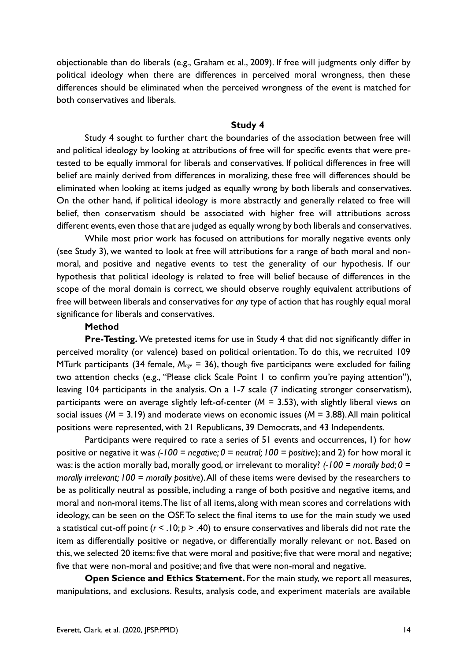objectionable than do liberals (e.g., Graham et al., 2009). If free will judgments only differ by political ideology when there are differences in perceived moral wrongness, then these differences should be eliminated when the perceived wrongness of the event is matched for both conservatives and liberals.

#### **Study 4**

Study 4 sought to further chart the boundaries of the association between free will and political ideology by looking at attributions of free will for specific events that were pretested to be equally immoral for liberals and conservatives. If political differences in free will belief are mainly derived from differences in moralizing, these free will differences should be eliminated when looking at items judged as equally wrong by both liberals and conservatives. On the other hand, if political ideology is more abstractly and generally related to free will belief, then conservatism should be associated with higher free will attributions across different events, even those that are judged as equally wrong by both liberals and conservatives.

While most prior work has focused on attributions for morally negative events only (see Study 3), we wanted to look at free will attributions for a range of both moral and nonmoral, and positive and negative events to test the generality of our hypothesis. If our hypothesis that political ideology is related to free will belief because of differences in the scope of the moral domain is correct, we should observe roughly equivalent attributions of free will between liberals and conservatives for *any* type of action that has roughly equal moral significance for liberals and conservatives.

#### **Method**

**Pre-Testing.** We pretested items for use in Study 4 that did not significantly differ in perceived morality (or valence) based on political orientation. To do this, we recruited 109 MTurk participants (34 female, *Mage* = 36), though five participants were excluded for failing two attention checks (e.g., "Please click Scale Point 1 to confirm you're paying attention"), leaving 104 participants in the analysis. On a 1-7 scale (7 indicating stronger conservatism), participants were on average slightly left-of-center (*M* = 3.53), with slightly liberal views on social issues (*M* = 3.19) and moderate views on economic issues (*M* = 3.88). All main political positions were represented, with 21 Republicans, 39 Democrats, and 43 Independents.

Participants were required to rate a series of 51 events and occurrences, 1) for how positive or negative it was *(-100 = negative; 0 = neutral; 100 = positive*); and 2) for how moral it was: is the action morally bad, morally good, or irrelevant to morality? *(-100 = morally bad; 0 = morally irrelevant; 100 = morally positive*). All of these items were devised by the researchers to be as politically neutral as possible, including a range of both positive and negative items, and moral and non-moral items. The list of all items, along with mean scores and correlations with ideology, can be seen on the OSF. To select the final items to use for the main study we used a statistical cut-off point (*r* < .10; *p* > .40) to ensure conservatives and liberals did not rate the item as differentially positive or negative, or differentially morally relevant or not. Based on this, we selected 20 items: five that were moral and positive; five that were moral and negative; five that were non-moral and positive; and five that were non-moral and negative.

**Open Science and Ethics Statement.** For the main study, we report all measures, manipulations, and exclusions. Results, analysis code, and experiment materials are available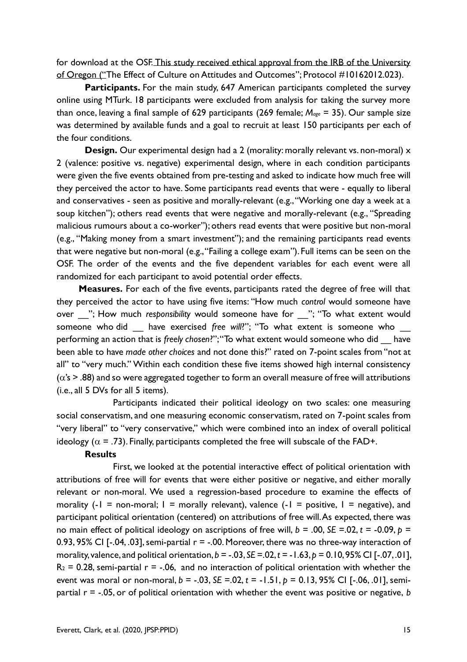for download at the OSF. This study received ethical approval from the IRB of the University of Oregon ("The Effect of Culture on Attitudes and Outcomes"; Protocol #10162012.023).

Participants. For the main study, 647 American participants completed the survey online using MTurk. 18 participants were excluded from analysis for taking the survey more than once, leaving a final sample of 629 participants (269 female; *Mage* = 35). Our sample size was determined by available funds and a goal to recruit at least 150 participants per each of the four conditions.

**Design.** Our experimental design had a 2 (morality: morally relevant vs. non-moral) x 2 (valence: positive vs. negative) experimental design, where in each condition participants were given the five events obtained from pre-testing and asked to indicate how much free will they perceived the actor to have. Some participants read events that were - equally to liberal and conservatives - seen as positive and morally-relevant (e.g., "Working one day a week at a soup kitchen"); others read events that were negative and morally-relevant (e.g., "Spreading malicious rumours about a co-worker"); others read events that were positive but non-moral (e.g., "Making money from a smart investment"); and the remaining participants read events that were negative but non-moral (e.g., "Failing a college exam"). Full items can be seen on the OSF. The order of the events and the five dependent variables for each event were all randomized for each participant to avoid potential order effects.

**Measures.** For each of the five events, participants rated the degree of free will that they perceived the actor to have using five items: "How much *control* would someone have over \_\_"; How much *responsibility* would someone have for \_\_"; "To what extent would someone who did have exercised *free will*?"; "To what extent is someone who performing an action that is *freely chosen*?"; "To what extent would someone who did \_\_ have been able to have *made other choices* and not done this?" rated on 7-point scales from "not at all" to "very much." Within each condition these five items showed high internal consistency  $(\alpha's > .88)$  and so were aggregated together to form an overall measure of free will attributions (i.e., all 5 DVs for all 5 items).

Participants indicated their political ideology on two scales: one measuring social conservatism, and one measuring economic conservatism, rated on 7-point scales from "very liberal" to "very conservative," which were combined into an index of overall political ideology ( $\alpha$  = .73). Finally, participants completed the free will subscale of the FAD+.

#### **Results**

First, we looked at the potential interactive effect of political orientation with attributions of free will for events that were either positive or negative, and either morally relevant or non-moral. We used a regression-based procedure to examine the effects of morality (-1 = non-moral;  $1 =$  morally relevant), valence (-1 = positive,  $1 =$  negative), and participant political orientation (centered) on attributions of free will. As expected, there was no main effect of political ideology on ascriptions of free will,  $b = .00$ ,  $SE = .02$ ,  $t = .0.09$ ,  $p =$ 0.93, 95% CI [-.04, .03], semi-partial  $r = -0.00$ . Moreover, there was no three-way interaction of morality, valence, and political orientation, *b* = -.03, *SE* =.02, *t* = -1.63, *p* = 0.10, 95% CI [-.07, .01],  $R_2$  = 0.28, semi-partial  $r = -0.06$ , and no interaction of political orientation with whether the event was moral or non-moral, *b* = -.03, *SE* =.02, *t* = -1.51, *p* = 0.13, 95% CI [-.06, .01], semipartial r = -.05, or of political orientation with whether the event was positive or negative, *b*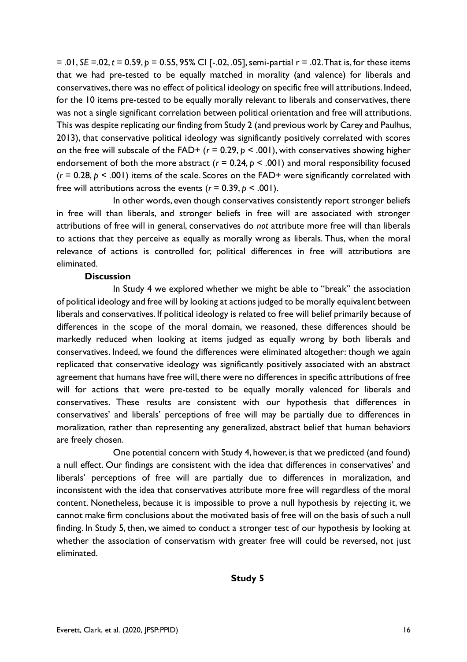= .01, *SE* =.02, *t* = 0.59, *p* = 0.55, 95% CI [-.02, .05], semi-partial r = .02. That is, for these items that we had pre-tested to be equally matched in morality (and valence) for liberals and conservatives, there was no effect of political ideology on specific free will attributions. Indeed, for the 10 items pre-tested to be equally morally relevant to liberals and conservatives, there was not a single significant correlation between political orientation and free will attributions. This was despite replicating our finding from Study 2 (and previous work by Carey and Paulhus, 2013), that conservative political ideology was significantly positively correlated with scores on the free will subscale of the FAD+ (*r* = 0.29, *p* < .001), with conservatives showing higher endorsement of both the more abstract ( $r = 0.24$ ,  $p < .001$ ) and moral responsibility focused  $(r = 0.28, p \le .001)$  items of the scale. Scores on the FAD+ were significantly correlated with free will attributions across the events  $(r = 0.39, p < .001)$ .

In other words, even though conservatives consistently report stronger beliefs in free will than liberals, and stronger beliefs in free will are associated with stronger attributions of free will in general, conservatives do *not* attribute more free will than liberals to actions that they perceive as equally as morally wrong as liberals. Thus, when the moral relevance of actions is controlled for, political differences in free will attributions are eliminated.

#### **Discussion**

In Study 4 we explored whether we might be able to "break" the association of political ideology and free will by looking at actions judged to be morally equivalent between liberals and conservatives. If political ideology is related to free will belief primarily because of differences in the scope of the moral domain, we reasoned, these differences should be markedly reduced when looking at items judged as equally wrong by both liberals and conservatives. Indeed, we found the differences were eliminated altogether: though we again replicated that conservative ideology was significantly positively associated with an abstract agreement that humans have free will, there were no differences in specific attributions of free will for actions that were pre-tested to be equally morally valenced for liberals and conservatives. These results are consistent with our hypothesis that differences in conservatives' and liberals' perceptions of free will may be partially due to differences in moralization, rather than representing any generalized, abstract belief that human behaviors are freely chosen.

One potential concern with Study 4, however, is that we predicted (and found) a null effect. Our findings are consistent with the idea that differences in conservatives' and liberals' perceptions of free will are partially due to differences in moralization, and inconsistent with the idea that conservatives attribute more free will regardless of the moral content. Nonetheless, because it is impossible to prove a null hypothesis by rejecting it, we cannot make firm conclusions about the motivated basis of free will on the basis of such a null finding. In Study 5, then, we aimed to conduct a stronger test of our hypothesis by looking at whether the association of conservatism with greater free will could be reversed, not just eliminated.

**Study 5**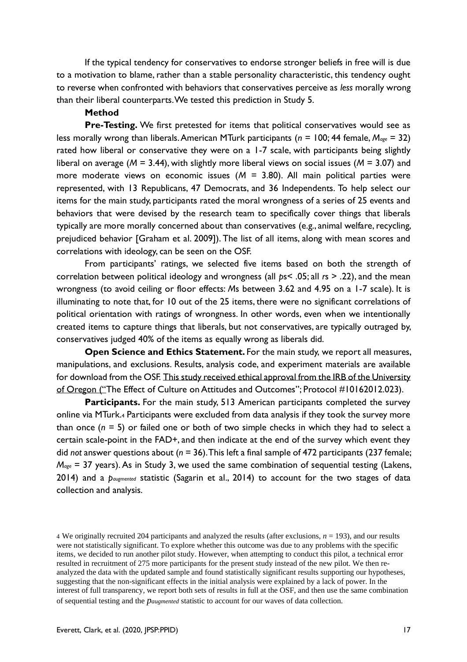If the typical tendency for conservatives to endorse stronger beliefs in free will is due to a motivation to blame, rather than a stable personality characteristic, this tendency ought to reverse when confronted with behaviors that conservatives perceive as *less* morally wrong than their liberal counterparts. We tested this prediction in Study 5.

#### **Method**

**Pre-Testing.** We first pretested for items that political conservatives would see as less morally wrong than liberals. American MTurk participants (*n* = 100; 44 female, *Mage* = 32) rated how liberal or conservative they were on a 1-7 scale, with participants being slightly liberal on average (*M* = 3.44), with slightly more liberal views on social issues (*M* = 3.07) and more moderate views on economic issues (*M* = 3.80). All main political parties were represented, with 13 Republicans, 47 Democrats, and 36 Independents. To help select our items for the main study, participants rated the moral wrongness of a series of 25 events and behaviors that were devised by the research team to specifically cover things that liberals typically are more morally concerned about than conservatives (e.g., animal welfare, recycling, prejudiced behavior [Graham et al. 2009]). The list of all items, along with mean scores and correlations with ideology, can be seen on the OSF.

From participants' ratings, we selected five items based on both the strength of correlation between political ideology and wrongness (all *p*s< .05; all *r*s > .22), and the mean wrongness (to avoid ceiling or floor effects: *M*s between 3.62 and 4.95 on a 1-7 scale). It is illuminating to note that, for 10 out of the 25 items, there were no significant correlations of political orientation with ratings of wrongness. In other words, even when we intentionally created items to capture things that liberals, but not conservatives, are typically outraged by, conservatives judged 40% of the items as equally wrong as liberals did.

**Open Science and Ethics Statement.** For the main study, we report all measures, manipulations, and exclusions. Results, analysis code, and experiment materials are available for download from the OSF. This study received ethical approval from the IRB of the University of Oregon ("The Effect of Culture on Attitudes and Outcomes"; Protocol #10162012.023).

**Participants.** For the main study, 513 American participants completed the survey online via MTurk.<sup>4</sup> Participants were excluded from data analysis if they took the survey more than once (*n* = 5) or failed one or both of two simple checks in which they had to select a certain scale-point in the FAD+, and then indicate at the end of the survey which event they did *not* answer questions about (*n* = 36). This left a final sample of 472 participants (237 female; *Mage* = 37 years). As in Study 3, we used the same combination of sequential testing (Lakens, 2014) and a *paugmented* statistic (Sagarin et al., 2014) to account for the two stages of data collection and analysis.

<sup>4</sup> We originally recruited 204 participants and analyzed the results (after exclusions, *n* = 193), and our results were not statistically significant. To explore whether this outcome was due to any problems with the specific items, we decided to run another pilot study. However, when attempting to conduct this pilot, a technical error resulted in recruitment of 275 more participants for the present study instead of the new pilot. We then reanalyzed the data with the updated sample and found statistically significant results supporting our hypotheses, suggesting that the non-significant effects in the initial analysis were explained by a lack of power. In the interest of full transparency, we report both sets of results in full at the OSF, and then use the same combination of sequential testing and the *paugmented* statistic to account for our waves of data collection.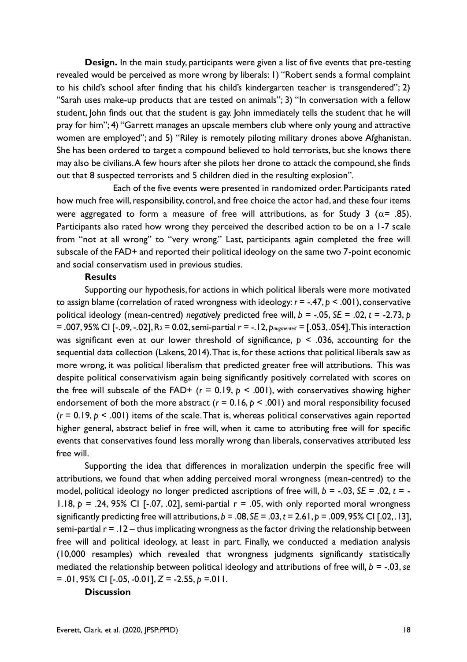**Design.** In the main study, participants were given a list of five events that pre-testing revealed would be perceived as more wrong by liberals: 1) "Robert sends a formal complaint to his child's school after finding that his child's kindergarten teacher is transgendered"; 2) "Sarah uses make-up products that are tested on animals"; 3) "In conversation with a fellow student, John finds out that the student is gay. John immediately tells the student that he will pray for him"; 4) "Garrett manages an upscale members club where only young and attractive women are employed"; and 5) "Riley is remotely piloting military drones above Afghanistan. She has been ordered to target a compound believed to hold terrorists, but she knows there may also be civilians. A few hours after she pilots her drone to attack the compound, she finds out that 8 suspected terrorists and 5 children died in the resulting explosion".

Each of the five events were presented in randomized order. Participants rated how much free will, responsibility, control, and free choice the actor had, and these four items were aggregated to form a measure of free will attributions, as for Study 3 ( $\alpha$ = .85). Participants also rated how wrong they perceived the described action to be on a 1-7 scale from "not at all wrong" to "very wrong." Last, participants again completed the free will subscale of the FAD+ and reported their political ideology on the same two 7-point economic and social conservatism used in previous studies.

#### **Results**

Supporting our hypothesis, for actions in which political liberals were more motivated to assign blame (correlation of rated wrongness with ideology: *r* = -.47, *p* < .001), conservative political ideology (mean-centred) *negatively* predicted free will, *b* = -.05, *SE* = .02, *t* = -2.73, *p* = .007, 95% CI [-.09, -.02], R<sup>2</sup> = 0.02, semi-partial r = -.12, *paugmented* = [.053, .054]. This interaction was significant even at our lower threshold of significance, *p* < .036, accounting for the sequential data collection (Lakens, 2014). That is, for these actions that political liberals saw as more wrong, it was political liberalism that predicted greater free will attributions. This was despite political conservativism again being significantly positively correlated with scores on the free will subscale of the FAD+  $(r = 0.19, p < .001)$ , with conservatives showing higher endorsement of both the more abstract ( $r = 0.16$ ,  $p < .001$ ) and moral responsibility focused  $(r = 0.19, p < .001)$  items of the scale. That is, whereas political conservatives again reported higher general, abstract belief in free will, when it came to attributing free will for specific events that conservatives found less morally wrong than liberals, conservatives attributed *less* free will.

Supporting the idea that differences in moralization underpin the specific free will attributions, we found that when adding perceived moral wrongness (mean-centred) to the model, political ideology no longer predicted ascriptions of free will,  $b = -.03$ ,  $SE = .02$ ,  $t = -$ 1.18,  $p = 0.24$ , 95% CI [-0.07, 0.02], semi-partial  $r = 0.05$ , with only reported moral wrongness significantly predicting free will attributions,  $b = .08$ ,  $SE = .03$ ,  $t = 2.61$ ,  $p = .009$ , 95% CI [.02, .13], semi-partial  $r = 0.12 -$  thus implicating wrongness as the factor driving the relationship between free will and political ideology, at least in part. Finally, we conducted a mediation analysis (10,000 resamples) which revealed that wrongness judgments significantly statistically mediated the relationship between political ideology and attributions of free will, *b =* -.03, *se*  $= 0.01, 95\%$  CI [-.05, -0.01],  $Z = -2.55, p = 011$ .

#### **Discussion**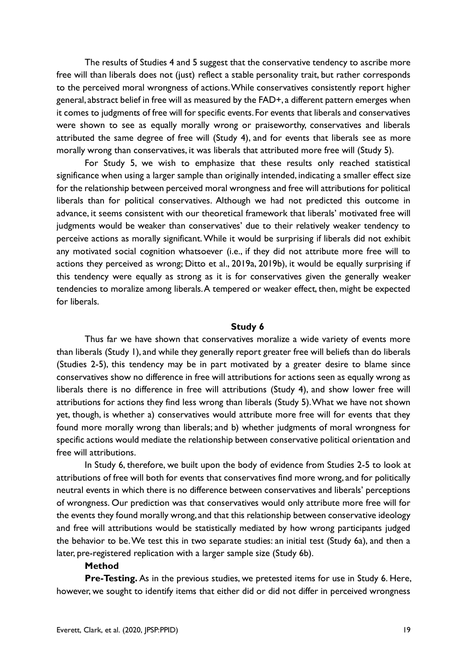The results of Studies 4 and 5 suggest that the conservative tendency to ascribe more free will than liberals does not (just) reflect a stable personality trait, but rather corresponds to the perceived moral wrongness of actions. While conservatives consistently report higher general, abstract belief in free will as measured by the FAD+, a different pattern emerges when it comes to judgments of free will for specific events. For events that liberals and conservatives were shown to see as equally morally wrong or praiseworthy, conservatives and liberals attributed the same degree of free will (Study 4), and for events that liberals see as more morally wrong than conservatives, it was liberals that attributed more free will (Study 5).

For Study 5, we wish to emphasize that these results only reached statistical significance when using a larger sample than originally intended, indicating a smaller effect size for the relationship between perceived moral wrongness and free will attributions for political liberals than for political conservatives. Although we had not predicted this outcome in advance, it seems consistent with our theoretical framework that liberals' motivated free will judgments would be weaker than conservatives' due to their relatively weaker tendency to perceive actions as morally significant. While it would be surprising if liberals did not exhibit any motivated social cognition whatsoever (i.e., if they did not attribute more free will to actions they perceived as wrong; Ditto et al., 2019a, 2019b), it would be equally surprising if this tendency were equally as strong as it is for conservatives given the generally weaker tendencies to moralize among liberals. A tempered or weaker effect, then, might be expected for liberals.

#### **Study 6**

Thus far we have shown that conservatives moralize a wide variety of events more than liberals (Study 1), and while they generally report greater free will beliefs than do liberals (Studies 2-5), this tendency may be in part motivated by a greater desire to blame since conservatives show no difference in free will attributions for actions seen as equally wrong as liberals there is no difference in free will attributions (Study 4), and show lower free will attributions for actions they find less wrong than liberals (Study 5). What we have not shown yet, though, is whether a) conservatives would attribute more free will for events that they found more morally wrong than liberals; and b) whether judgments of moral wrongness for specific actions would mediate the relationship between conservative political orientation and free will attributions.

In Study 6, therefore, we built upon the body of evidence from Studies 2-5 to look at attributions of free will both for events that conservatives find more wrong, and for politically neutral events in which there is no difference between conservatives and liberals' perceptions of wrongness. Our prediction was that conservatives would only attribute more free will for the events they found morally wrong, and that this relationship between conservative ideology and free will attributions would be statistically mediated by how wrong participants judged the behavior to be. We test this in two separate studies: an initial test (Study 6a), and then a later, pre-registered replication with a larger sample size (Study 6b).

#### **Method**

**Pre-Testing.** As in the previous studies, we pretested items for use in Study 6. Here, however, we sought to identify items that either did or did not differ in perceived wrongness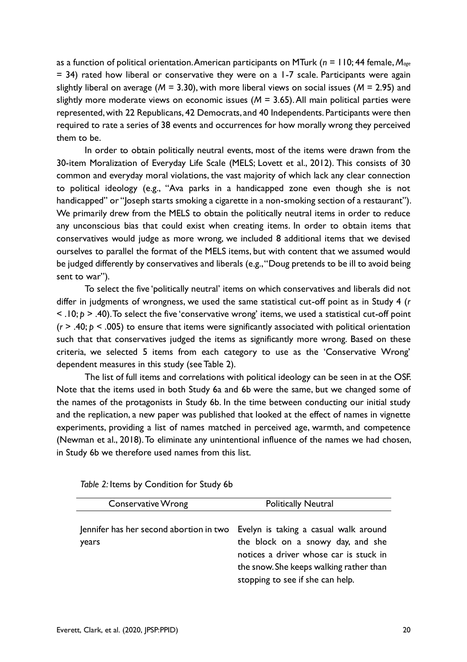as a function of political orientation. American participants on MTurk (*n* = 110; 44 female, *Mage* = 34) rated how liberal or conservative they were on a 1-7 scale. Participants were again slightly liberal on average (*M* = 3.30), with more liberal views on social issues (*M* = 2.95) and slightly more moderate views on economic issues (*M* = 3.65). All main political parties were represented, with 22 Republicans, 42 Democrats, and 40 Independents. Participants were then required to rate a series of 38 events and occurrences for how morally wrong they perceived them to be.

In order to obtain politically neutral events, most of the items were drawn from the 30-item Moralization of Everyday Life Scale (MELS; Lovett et al., 2012). This consists of 30 common and everyday moral violations, the vast majority of which lack any clear connection to political ideology (e.g., "Ava parks in a handicapped zone even though she is not handicapped" or "Joseph starts smoking a cigarette in a non-smoking section of a restaurant"). We primarily drew from the MELS to obtain the politically neutral items in order to reduce any unconscious bias that could exist when creating items. In order to obtain items that conservatives would judge as more wrong, we included 8 additional items that we devised ourselves to parallel the format of the MELS items, but with content that we assumed would be judged differently by conservatives and liberals (e.g., "Doug pretends to be ill to avoid being sent to war").

To select the five 'politically neutral' items on which conservatives and liberals did not differ in judgments of wrongness, we used the same statistical cut-off point as in Study 4 (*r* < .10; *p* > .40).To select the five 'conservative wrong' items, we used a statistical cut-off point (*r* > .40; *p* < .005) to ensure that items were significantly associated with political orientation such that that conservatives judged the items as significantly more wrong. Based on these criteria, we selected 5 items from each category to use as the 'Conservative Wrong' dependent measures in this study (see Table 2).

The list of full items and correlations with political ideology can be seen in at the OSF. Note that the items used in both Study 6a and 6b were the same, but we changed some of the names of the protagonists in Study 6b. In the time between conducting our initial study and the replication, a new paper was published that looked at the effect of names in vignette experiments, providing a list of names matched in perceived age, warmth, and competence (Newman et al., 2018). To eliminate any unintentional influence of the names we had chosen, in Study 6b we therefore used names from this list.

| <b>Conservative Wrong</b>                        | <b>Politically Neutral</b>                                                                                                                                                                          |
|--------------------------------------------------|-----------------------------------------------------------------------------------------------------------------------------------------------------------------------------------------------------|
| Jennifer has her second abortion in two<br>years | Evelyn is taking a casual walk around<br>the block on a snowy day, and she<br>notices a driver whose car is stuck in<br>the snow. She keeps walking rather than<br>stopping to see if she can help. |

*Table 2:* Items by Condition for Study 6b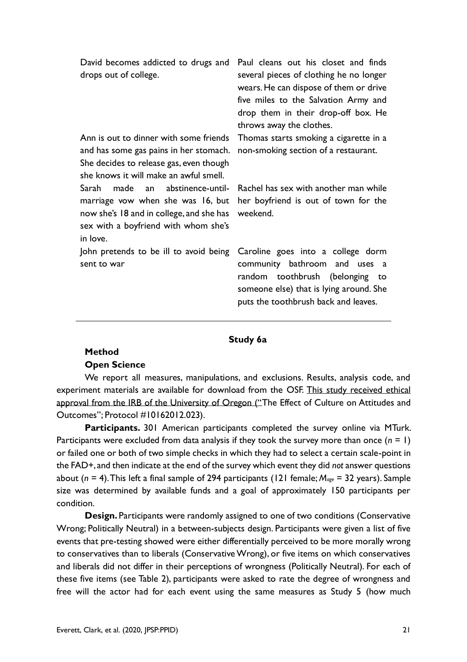| David becomes addicted to drugs and<br>drops out of college.                                                                                                          | Paul cleans out his closet and finds<br>several pieces of clothing he no longer<br>wears. He can dispose of them or drive<br>five miles to the Salvation Army and<br>drop them in their drop-off box. He<br>throws away the clothes. |
|-----------------------------------------------------------------------------------------------------------------------------------------------------------------------|--------------------------------------------------------------------------------------------------------------------------------------------------------------------------------------------------------------------------------------|
| Ann is out to dinner with some friends<br>and has some gas pains in her stomach.<br>She decides to release gas, even though<br>she knows it will make an awful smell. | Thomas starts smoking a cigarette in a<br>non-smoking section of a restaurant.                                                                                                                                                       |
| Sarah made an abstinence-until-<br>marriage vow when she was 16, but<br>now she's 18 and in college, and she has<br>sex with a boyfriend with whom she's<br>in love.  | Rachel has sex with another man while<br>her boyfriend is out of town for the<br>weekend.                                                                                                                                            |
| John pretends to be ill to avoid being<br>sent to war                                                                                                                 | Caroline goes into a college dorm<br>community bathroom and uses a<br>random toothbrush (belonging to<br>someone else) that is lying around. She<br>puts the toothbrush back and leaves.                                             |

#### **Study 6a**

#### **Method Open Science**

We report all measures, manipulations, and exclusions. Results, analysis code, and experiment materials are available for download from the OSF. This study received ethical approval from the IRB of the University of Oregon ("The Effect of Culture on Attitudes and Outcomes"; Protocol #10162012.023).

Participants. 301 American participants completed the survey online via MTurk. Participants were excluded from data analysis if they took the survey more than once (*n* = 1) or failed one or both of two simple checks in which they had to select a certain scale-point in the FAD+, and then indicate at the end of the survey which event they did *not* answer questions about (*n* = 4). This left a final sample of 294 participants (121 female; *Mage* = 32 years). Sample size was determined by available funds and a goal of approximately 150 participants per condition.

**Design.** Participants were randomly assigned to one of two conditions (Conservative Wrong; Politically Neutral) in a between-subjects design. Participants were given a list of five events that pre-testing showed were either differentially perceived to be more morally wrong to conservatives than to liberals (Conservative Wrong), or five items on which conservatives and liberals did not differ in their perceptions of wrongness (Politically Neutral). For each of these five items (see Table 2), participants were asked to rate the degree of wrongness and free will the actor had for each event using the same measures as Study 5 (how much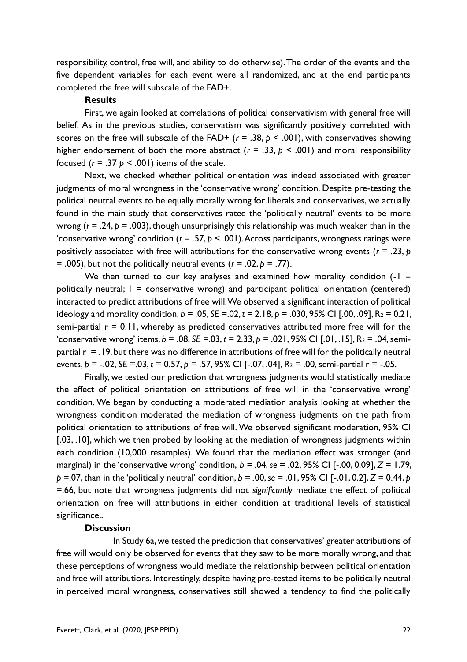responsibility, control, free will, and ability to do otherwise). The order of the events and the five dependent variables for each event were all randomized, and at the end participants completed the free will subscale of the FAD+.

#### **Results**

First, we again looked at correlations of political conservativism with general free will belief. As in the previous studies, conservatism was significantly positively correlated with scores on the free will subscale of the FAD+  $(r = .38, p < .001)$ , with conservatives showing higher endorsement of both the more abstract ( $r = .33$ ,  $p < .001$ ) and moral responsibility focused ( $r = .37$   $p < .001$ ) items of the scale.

Next, we checked whether political orientation was indeed associated with greater judgments of moral wrongness in the 'conservative wrong' condition. Despite pre-testing the political neutral events to be equally morally wrong for liberals and conservatives, we actually found in the main study that conservatives rated the 'politically neutral' events to be more wrong (*r* = .24, *p* = .003), though unsurprisingly this relationship was much weaker than in the 'conservative wrong' condition (*r* = .57, *p* < .001). Across participants, wrongness ratings were positively associated with free will attributions for the conservative wrong events (*r* = .23, *p* = .005), but not the politically neutral events (*r* = .02, *p* = .77).

We then turned to our key analyses and examined how morality condition  $(-1)$  = politically neutral;  $I =$  conservative wrong) and participant political orientation (centered) interacted to predict attributions of free will. We observed a significant interaction of political ideology and morality condition,  $b = .05$ ,  $SE = .02$ ,  $t = 2.18$ ,  $b = .030$ ,  $95\%$  CI [.00, .09],  $R_2 = 0.21$ , semi-partial  $r = 0.11$ , whereby as predicted conservatives attributed more free will for the 'conservative wrong' items,  $b = .08$ ,  $SE = .03$ ,  $t = 2.33$ ,  $p = .021$ ,  $95\%$  CI [.01, .15],  $R_2 = .04$ , semipartial  $r = 0.19$ , but there was no difference in attributions of free will for the politically neutral events, *b* = -.02, *SE* =.03, *t* = 0.57, *p* = .57, 95% CI [-.07, .04], R<sup>2</sup> = .00, semi-partial r = -.05.

Finally, we tested our prediction that wrongness judgments would statistically mediate the effect of political orientation on attributions of free will in the 'conservative wrong' condition. We began by conducting a moderated mediation analysis looking at whether the wrongness condition moderated the mediation of wrongness judgments on the path from political orientation to attributions of free will. We observed significant moderation, 95% CI [.03, .10], which we then probed by looking at the mediation of wrongness judgments within each condition (10,000 resamples). We found that the mediation effect was stronger (and marginal) in the 'conservative wrong' condition, *b = .*04, *se* = .02, 95% CI [-.00, 0.09], *Z =* 1.79, *p* =.07, than in the 'politically neutral' condition, *b = .*00, *se* = .01, 95% CI [-.01, 0.2], *Z =* 0.44, *p* =.66, but note that wrongness judgments did not *significantly* mediate the effect of political orientation on free will attributions in either condition at traditional levels of statistical significance..

#### **Discussion**

In Study 6a, we tested the prediction that conservatives' greater attributions of free will would only be observed for events that they saw to be more morally wrong, and that these perceptions of wrongness would mediate the relationship between political orientation and free will attributions. Interestingly, despite having pre-tested items to be politically neutral in perceived moral wrongness, conservatives still showed a tendency to find the politically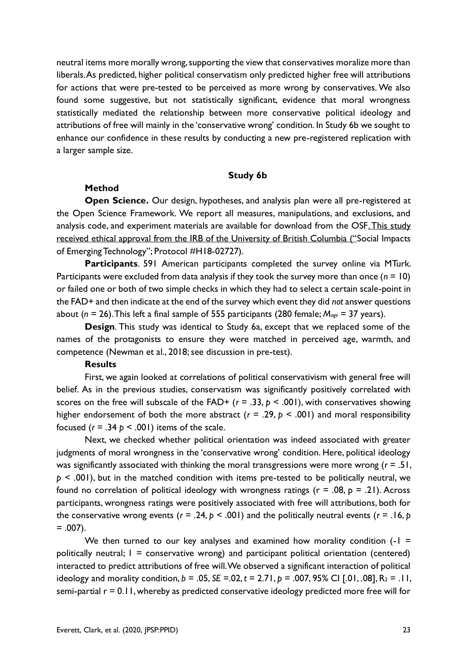neutral items more morally wrong, supporting the view that conservatives moralize more than liberals. As predicted, higher political conservatism only predicted higher free will attributions for actions that were pre-tested to be perceived as more wrong by conservatives. We also found some suggestive, but not statistically significant, evidence that moral wrongness statistically mediated the relationship between more conservative political ideology and attributions of free will mainly in the 'conservative wrong' condition. In Study 6b we sought to enhance our confidence in these results by conducting a new pre-registered replication with a larger sample size.

#### **Study 6b**

#### **Method**

**Open Science.** Our design, hypotheses, and analysis plan were all pre-registered at the Open Science Framework. We report all measures, manipulations, and exclusions, and analysis code, and experiment materials are available for download from the OSF. This study received ethical approval from the IRB of the University of British Columbia ("Social Impacts of Emerging Technology"; Protocol #H18-02727).

**Participants**. 591 American participants completed the survey online via MTurk. Participants were excluded from data analysis if they took the survey more than once (*n* = 10) or failed one or both of two simple checks in which they had to select a certain scale-point in the FAD+ and then indicate at the end of the survey which event they did *not* answer questions about (*n* = 26). This left a final sample of 555 participants (280 female; *Mage* = 37 years).

**Design**. This study was identical to Study 6a, except that we replaced some of the names of the protagonists to ensure they were matched in perceived age, warmth, and competence (Newman et al., 2018; see discussion in pre-test).

#### **Results**

First, we again looked at correlations of political conservativism with general free will belief. As in the previous studies, conservatism was significantly positively correlated with scores on the free will subscale of the FAD+  $(r = .33, p < .001)$ , with conservatives showing higher endorsement of both the more abstract ( $r = .29$ ,  $p < .001$ ) and moral responsibility focused  $(r = .34 \text{ p} < .001)$  items of the scale.

Next, we checked whether political orientation was indeed associated with greater judgments of moral wrongness in the 'conservative wrong' condition. Here, political ideology was significantly associated with thinking the moral transgressions were more wrong (*r* = .51, *p* < .001), but in the matched condition with items pre-tested to be politically neutral, we found no correlation of political ideology with wrongness ratings ( $r = .08$ ,  $p = .21$ ). Across participants, wrongness ratings were positively associated with free will attributions, both for the conservative wrong events ( $r = .24$ ,  $p < .001$ ) and the politically neutral events ( $r = .16$ ,  $p = .16$  $= .007$ ).

We then turned to our key analyses and examined how morality condition  $(-1)$  = politically neutral;  $I =$  conservative wrong) and participant political orientation (centered) interacted to predict attributions of free will. We observed a significant interaction of political ideology and morality condition,  $b = .05$ ,  $SE = .02$ ,  $t = 2.71$ ,  $p = .007$ ,  $95\%$  CI [.01, .08],  $R_2 = .11$ , semi-partial r = 0.11, whereby as predicted conservative ideology predicted more free will for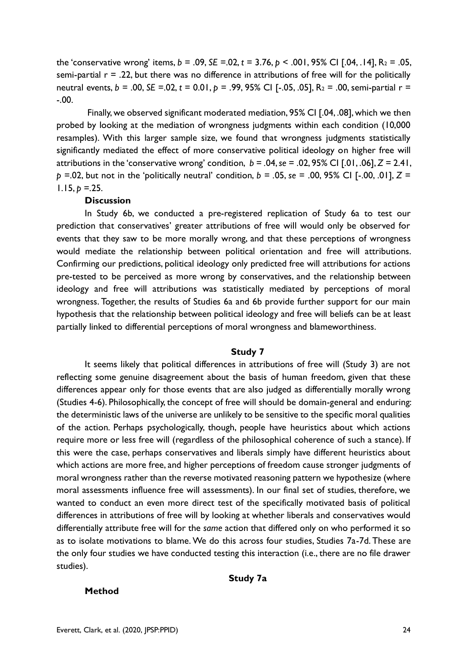the 'conservative wrong' items, *b* = .09, *SE* =.02, *t* = 3.76, *p* < .001, 95% CI [.04, .14], R<sup>2</sup> = .05, semi-partial  $r = 0.22$ , but there was no difference in attributions of free will for the politically neutral events, *b* = .00, *SE* =.02, *t* = 0.01, *p* = .99, 95% CI [-.05, .05], R<sup>2</sup> = .00, semi-partial r = -.00.

Finally, we observed significant moderated mediation, 95% CI [.04, .08], which we then probed by looking at the mediation of wrongness judgments within each condition (10,000 resamples). With this larger sample size, we found that wrongness judgments statistically significantly mediated the effect of more conservative political ideology on higher free will attributions in the 'conservative wrong' condition, *b = .*04, *se* = .02, 95% CI [.01, .06], *Z =* 2.41, *p* =.02, but not in the 'politically neutral' condition, *b = .*05, *se* = .00, 95% CI [-.00, .01], *Z =*   $1.15, p = 25.$ 

#### **Discussion**

In Study 6b, we conducted a pre-registered replication of Study 6a to test our prediction that conservatives' greater attributions of free will would only be observed for events that they saw to be more morally wrong, and that these perceptions of wrongness would mediate the relationship between political orientation and free will attributions. Confirming our predictions, political ideology only predicted free will attributions for actions pre-tested to be perceived as more wrong by conservatives, and the relationship between ideology and free will attributions was statistically mediated by perceptions of moral wrongness. Together, the results of Studies 6a and 6b provide further support for our main hypothesis that the relationship between political ideology and free will beliefs can be at least partially linked to differential perceptions of moral wrongness and blameworthiness.

#### **Study 7**

It seems likely that political differences in attributions of free will (Study 3) are not reflecting some genuine disagreement about the basis of human freedom, given that these differences appear only for those events that are also judged as differentially morally wrong (Studies 4-6). Philosophically, the concept of free will should be domain-general and enduring: the deterministic laws of the universe are unlikely to be sensitive to the specific moral qualities of the action. Perhaps psychologically, though, people have heuristics about which actions require more or less free will (regardless of the philosophical coherence of such a stance). If this were the case, perhaps conservatives and liberals simply have different heuristics about which actions are more free, and higher perceptions of freedom cause stronger judgments of moral wrongness rather than the reverse motivated reasoning pattern we hypothesize (where moral assessments influence free will assessments). In our final set of studies, therefore, we wanted to conduct an even more direct test of the specifically motivated basis of political differences in attributions of free will by looking at whether liberals and conservatives would differentially attribute free will for the *same* action that differed only on who performed it so as to isolate motivations to blame. We do this across four studies, Studies 7a-7d. These are the only four studies we have conducted testing this interaction (i.e., there are no file drawer studies).

#### **Study 7a**

#### **Method**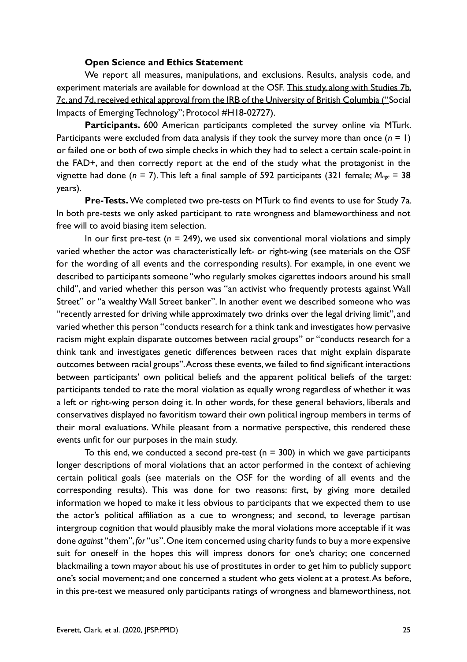#### **Open Science and Ethics Statement**

We report all measures, manipulations, and exclusions. Results, analysis code, and experiment materials are available for download at the OSF. This study, along with Studies 7b, 7c, and 7d, received ethical approval from the IRB of the University of British Columbia ("Social Impacts of Emerging Technology"; Protocol #H18-02727).

**Participants.** 600 American participants completed the survey online via MTurk. Participants were excluded from data analysis if they took the survey more than once (*n* = 1) or failed one or both of two simple checks in which they had to select a certain scale-point in the FAD+, and then correctly report at the end of the study what the protagonist in the vignette had done (*n* = 7). This left a final sample of 592 participants (321 female; *Mage* = 38 years).

**Pre-Tests.** We completed two pre-tests on MTurk to find events to use for Study 7a. In both pre-tests we only asked participant to rate wrongness and blameworthiness and not free will to avoid biasing item selection.

In our first pre-test ( $n = 249$ ), we used six conventional moral violations and simply varied whether the actor was characteristically left- or right-wing (see materials on the OSF for the wording of all events and the corresponding results). For example, in one event we described to participants someone "who regularly smokes cigarettes indoors around his small child", and varied whether this person was "an activist who frequently protests against Wall Street" or "a wealthy Wall Street banker". In another event we described someone who was "recently arrested for driving while approximately two drinks over the legal driving limit", and varied whether this person "conducts research for a think tank and investigates how pervasive racism might explain disparate outcomes between racial groups" or "conducts research for a think tank and investigates genetic differences between races that might explain disparate outcomes between racial groups". Across these events, we failed to find significant interactions between participants' own political beliefs and the apparent political beliefs of the target: participants tended to rate the moral violation as equally wrong regardless of whether it was a left or right-wing person doing it. In other words, for these general behaviors, liberals and conservatives displayed no favoritism toward their own political ingroup members in terms of their moral evaluations. While pleasant from a normative perspective, this rendered these events unfit for our purposes in the main study.

To this end, we conducted a second pre-test ( $n = 300$ ) in which we gave participants longer descriptions of moral violations that an actor performed in the context of achieving certain political goals (see materials on the OSF for the wording of all events and the corresponding results). This was done for two reasons: first, by giving more detailed information we hoped to make it less obvious to participants that we expected them to use the actor's political affiliation as a cue to wrongness; and second, to leverage partisan intergroup cognition that would plausibly make the moral violations more acceptable if it was done *against* "them", *for* "us". One item concerned using charity funds to buy a more expensive suit for oneself in the hopes this will impress donors for one's charity; one concerned blackmailing a town mayor about his use of prostitutes in order to get him to publicly support one's social movement; and one concerned a student who gets violent at a protest. As before, in this pre-test we measured only participants ratings of wrongness and blameworthiness, not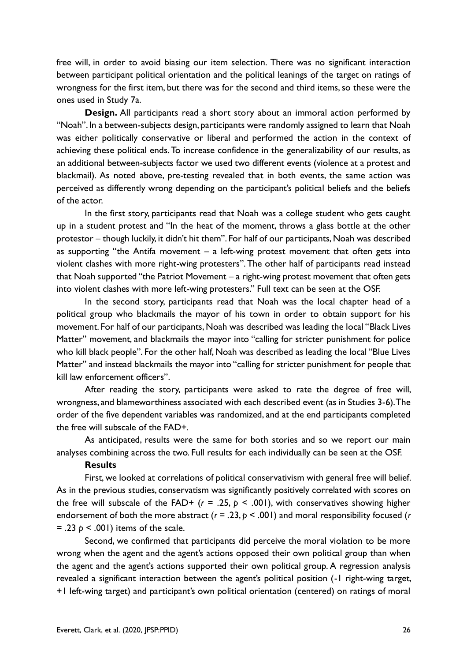free will, in order to avoid biasing our item selection. There was no significant interaction between participant political orientation and the political leanings of the target on ratings of wrongness for the first item, but there was for the second and third items, so these were the ones used in Study 7a.

**Design.** All participants read a short story about an immoral action performed by "Noah". In a between-subjects design, participants were randomly assigned to learn that Noah was either politically conservative or liberal and performed the action in the context of achieving these political ends. To increase confidence in the generalizability of our results, as an additional between-subjects factor we used two different events (violence at a protest and blackmail). As noted above, pre-testing revealed that in both events, the same action was perceived as differently wrong depending on the participant's political beliefs and the beliefs of the actor.

In the first story, participants read that Noah was a college student who gets caught up in a student protest and "In the heat of the moment, throws a glass bottle at the other protestor – though luckily, it didn't hit them". For half of our participants, Noah was described as supporting "the Antifa movement – a left-wing protest movement that often gets into violent clashes with more right-wing protesters". The other half of participants read instead that Noah supported "the Patriot Movement – a right-wing protest movement that often gets into violent clashes with more left-wing protesters." Full text can be seen at the OSF.

In the second story, participants read that Noah was the local chapter head of a political group who blackmails the mayor of his town in order to obtain support for his movement. For half of our participants, Noah was described was leading the local "Black Lives Matter" movement, and blackmails the mayor into "calling for stricter punishment for police who kill black people". For the other half, Noah was described as leading the local "Blue Lives Matter" and instead blackmails the mayor into "calling for stricter punishment for people that kill law enforcement officers".

After reading the story, participants were asked to rate the degree of free will, wrongness, and blameworthiness associated with each described event (as in Studies 3-6). The order of the five dependent variables was randomized, and at the end participants completed the free will subscale of the FAD+.

As anticipated, results were the same for both stories and so we report our main analyses combining across the two. Full results for each individually can be seen at the OSF.

#### **Results**

First, we looked at correlations of political conservativism with general free will belief. As in the previous studies, conservatism was significantly positively correlated with scores on the free will subscale of the FAD+  $(r = .25, p < .001)$ , with conservatives showing higher endorsement of both the more abstract (*r* = .23, *p* < .001) and moral responsibility focused (*r*  $= .23$   $p \le .001$ ) items of the scale.

Second, we confirmed that participants did perceive the moral violation to be more wrong when the agent and the agent's actions opposed their own political group than when the agent and the agent's actions supported their own political group. A regression analysis revealed a significant interaction between the agent's political position (-1 right-wing target, +1 left-wing target) and participant's own political orientation (centered) on ratings of moral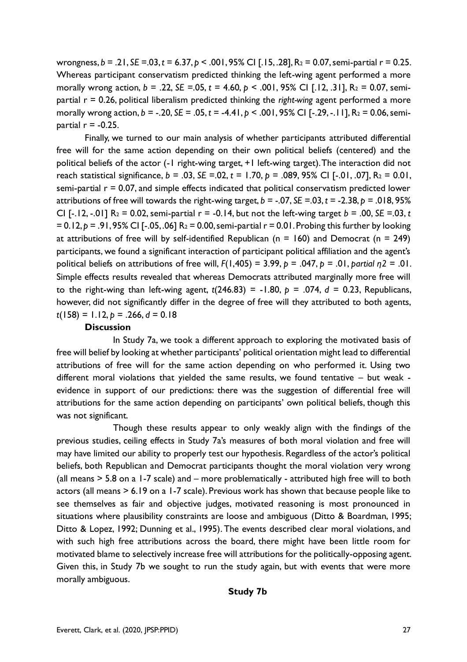wrongness, *b* = .21, *SE* =.03, *t* = 6.37, *p* < .001, 95% CI [.15, .28], R<sup>2</sup> = 0.07, semi-partial r = 0.25. Whereas participant conservatism predicted thinking the left-wing agent performed a more morally wrong action, *b* = .22, *SE* =.05, *t* = 4.60, *p* < .001, 95% CI [.12, .31], R<sup>2</sup> = 0.07, semipartial r = 0.26, political liberalism predicted thinking the *right-wing* agent performed a more morally wrong action, *b* = -.20, *SE* = .05, *t* = -4.41, *p* < .001, 95% CI [-.29, -.11], R<sup>2</sup> = 0.06, semipartial  $r = -0.25$ .

Finally, we turned to our main analysis of whether participants attributed differential free will for the same action depending on their own political beliefs (centered) and the political beliefs of the actor (-1 right-wing target, +1 left-wing target). The interaction did not reach statistical significance, *b* = .03, *SE* =.02, *t* = 1.70, *p* = .089, 95% CI [-.01, .07], R<sup>2</sup> = 0.01, semi-partial  $r = 0.07$ , and simple effects indicated that political conservatism predicted lower attributions of free will towards the right-wing target,  $b = -0.07$ ,  $SE = -0.03$ ,  $t = -2.38$ ,  $p = 0.018$ ,  $95\%$ CI [-.12, -.01]  $R_2 = 0.02$ , semi-partial  $r = -0.14$ , but not the left-wing target  $b = .00$ , *SE* = 03, *t* = 0.12, *p* = .91, 95% CI [-.05, .06] R<sup>2</sup> = 0.00, semi-partial r = 0.01. Probing this further by looking at attributions of free will by self-identified Republican ( $n = 160$ ) and Democrat ( $n = 249$ ) participants, we found a significant interaction of participant political affiliation and the agent's political beliefs on attributions of free will, *F*(1,405) = 3.99, *p* = .047, *p* = .01, *partial η2* = .01. Simple effects results revealed that whereas Democrats attributed marginally more free will to the right-wing than left-wing agent,  $t(246.83) = -1.80$ ,  $p = .074$ ,  $d = 0.23$ , Republicans, however, did not significantly differ in the degree of free will they attributed to both agents, *t*(158) = 1.12, *p* = .266, *d* = 0.18

#### **Discussion**

In Study 7a, we took a different approach to exploring the motivated basis of free will belief by looking at whether participants' political orientation might lead to differential attributions of free will for the same action depending on who performed it. Using two different moral violations that yielded the same results, we found tentative – but weak evidence in support of our predictions: there was the suggestion of differential free will attributions for the same action depending on participants' own political beliefs, though this was not significant.

Though these results appear to only weakly align with the findings of the previous studies, ceiling effects in Study 7a's measures of both moral violation and free will may have limited our ability to properly test our hypothesis. Regardless of the actor's political beliefs, both Republican and Democrat participants thought the moral violation very wrong (all means > 5.8 on a 1-7 scale) and – more problematically - attributed high free will to both actors (all means > 6.19 on a 1-7 scale). Previous work has shown that because people like to see themselves as fair and objective judges, motivated reasoning is most pronounced in situations where plausibility constraints are loose and ambiguous (Ditto & Boardman, 1995; Ditto & Lopez, 1992; Dunning et al., 1995). The events described clear moral violations, and with such high free attributions across the board, there might have been little room for motivated blame to selectively increase free will attributions for the politically-opposing agent. Given this, in Study 7b we sought to run the study again, but with events that were more morally ambiguous.

#### **Study 7b**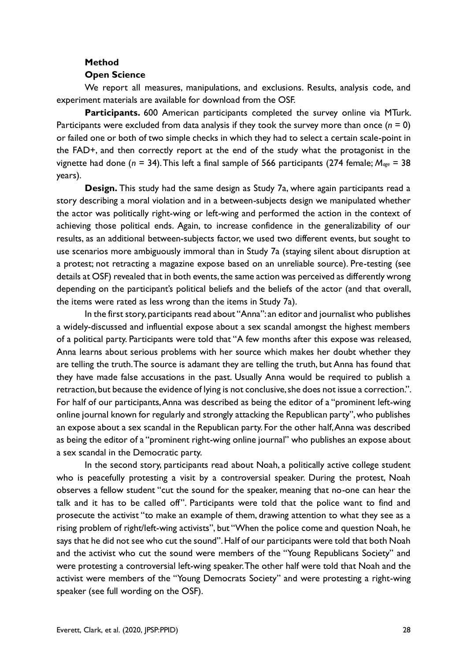### **Method**

#### **Open Science**

We report all measures, manipulations, and exclusions. Results, analysis code, and experiment materials are available for download from the OSF.

**Participants.** 600 American participants completed the survey online via MTurk. Participants were excluded from data analysis if they took the survey more than once  $(n = 0)$ or failed one or both of two simple checks in which they had to select a certain scale-point in the FAD+, and then correctly report at the end of the study what the protagonist in the vignette had done (*n* = 34). This left a final sample of 566 participants (274 female; *Mage* = 38 years).

**Design.** This study had the same design as Study 7a, where again participants read a story describing a moral violation and in a between-subjects design we manipulated whether the actor was politically right-wing or left-wing and performed the action in the context of achieving those political ends. Again, to increase confidence in the generalizability of our results, as an additional between-subjects factor, we used two different events, but sought to use scenarios more ambiguously immoral than in Study 7a (staying silent about disruption at a protest; not retracting a magazine expose based on an unreliable source). Pre-testing (see details at OSF) revealed that in both events, the same action was perceived as differently wrong depending on the participant's political beliefs and the beliefs of the actor (and that overall, the items were rated as less wrong than the items in Study 7a).

In the first story, participants read about "Anna": an editor and journalist who publishes a widely-discussed and influential expose about a sex scandal amongst the highest members of a political party. Participants were told that "A few months after this expose was released, Anna learns about serious problems with her source which makes her doubt whether they are telling the truth. The source is adamant they are telling the truth, but Anna has found that they have made false accusations in the past. Usually Anna would be required to publish a retraction, but because the evidence of lying is not conclusive, she does not issue a correction.". For half of our participants, Anna was described as being the editor of a "prominent left-wing online journal known for regularly and strongly attacking the Republican party", who publishes an expose about a sex scandal in the Republican party. For the other half, Anna was described as being the editor of a "prominent right-wing online journal" who publishes an expose about a sex scandal in the Democratic party.

In the second story, participants read about Noah, a politically active college student who is peacefully protesting a visit by a controversial speaker. During the protest, Noah observes a fellow student "cut the sound for the speaker, meaning that no-one can hear the talk and it has to be called off". Participants were told that the police want to find and prosecute the activist "to make an example of them, drawing attention to what they see as a rising problem of right/left-wing activists", but "When the police come and question Noah, he says that he did not see who cut the sound". Half of our participants were told that both Noah and the activist who cut the sound were members of the "Young Republicans Society" and were protesting a controversial left-wing speaker. The other half were told that Noah and the activist were members of the "Young Democrats Society" and were protesting a right-wing speaker (see full wording on the OSF).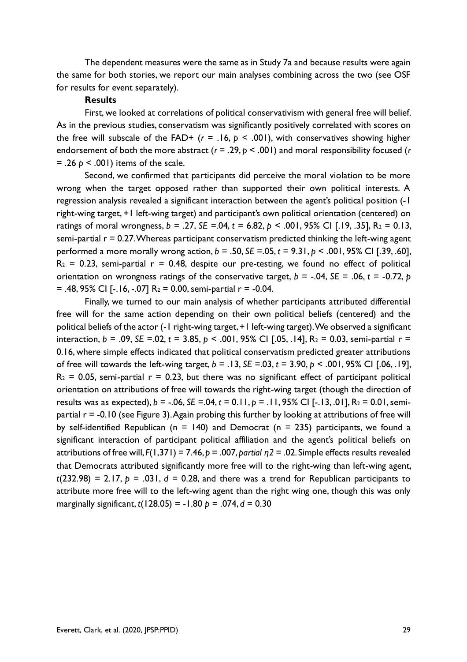The dependent measures were the same as in Study 7a and because results were again the same for both stories, we report our main analyses combining across the two (see OSF for results for event separately).

#### **Results**

First, we looked at correlations of political conservativism with general free will belief. As in the previous studies, conservatism was significantly positively correlated with scores on the free will subscale of the FAD+  $(r = .16, p < .001)$ , with conservatives showing higher endorsement of both the more abstract (*r* = .29, *p* < .001) and moral responsibility focused (*r* = .26 *p* < .001) items of the scale.

Second, we confirmed that participants did perceive the moral violation to be more wrong when the target opposed rather than supported their own political interests. A regression analysis revealed a significant interaction between the agent's political position (-1 right-wing target, +1 left-wing target) and participant's own political orientation (centered) on ratings of moral wrongness, *b* = .27, *SE* =.04, *t* = 6.82, *p* < .001, 95% CI [.19, .35], R<sup>2</sup> = 0.13, semi-partial  $r = 0.27$ . Whereas participant conservatism predicted thinking the left-wing agent performed a more morally wrong action, *b* = .50, *SE* =.05, *t* = 9.31, *p* < .001, 95% CI [.39, .60],  $R_2$  = 0.23, semi-partial  $r = 0.48$ , despite our pre-testing, we found no effect of political orientation on wrongness ratings of the conservative target,  $b = -0.04$ ,  $SE = 0.06$ ,  $t = -0.72$ ,  $p$  $=$  .48, 95% CI [-.16, -.07] R<sub>2</sub> = 0.00, semi-partial r = -0.04.

Finally, we turned to our main analysis of whether participants attributed differential free will for the same action depending on their own political beliefs (centered) and the political beliefs of the actor (-1 right-wing target, +1 left-wing target). We observed a significant interaction, *b* = .09, *SE* =.02, *t* = 3.85, *p* < .001, 95% CI [.05, .14], R<sup>2</sup> = 0.03, semi-partial r = 0.16, where simple effects indicated that political conservatism predicted greater attributions of free will towards the left-wing target, *b* = .13, *SE* =.03, *t* = 3.90, *p* < .001, 95% CI [.06, .19],  $R_2$  = 0.05, semi-partial  $r = 0.23$ , but there was no significant effect of participant political orientation on attributions of free will towards the right-wing target (though the direction of results was as expected), *b* = -.06, *SE* =.04, *t* = 0.11, *p* = .11, 95% CI [-.13, .01], R<sup>2</sup> = 0.01, semipartial r = -0.10 (see Figure 3). Again probing this further by looking at attributions of free will by self-identified Republican ( $n = 140$ ) and Democrat ( $n = 235$ ) participants, we found a significant interaction of participant political affiliation and the agent's political beliefs on attributions of free will, *F*(1,371) = 7.46, *p* = .007, *partial η2* = .02. Simple effects results revealed that Democrats attributed significantly more free will to the right-wing than left-wing agent,  $t(232.98) = 2.17$ ,  $p = .031$ ,  $d = 0.28$ , and there was a trend for Republican participants to attribute more free will to the left-wing agent than the right wing one, though this was only marginally significant, *t*(128.05) = -1.80 *p* = .074, *d* = 0.30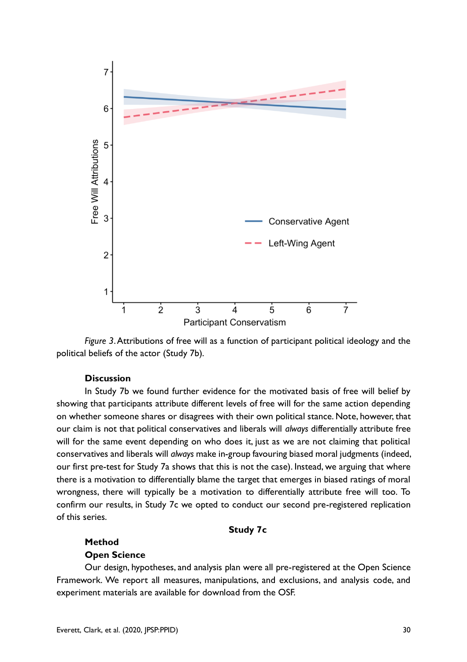

*Figure 3*. Attributions of free will as a function of participant political ideology and the political beliefs of the actor (Study 7b).

#### **Discussion**

In Study 7b we found further evidence for the motivated basis of free will belief by showing that participants attribute different levels of free will for the same action depending on whether someone shares or disagrees with their own political stance. Note, however, that our claim is not that political conservatives and liberals will *always* differentially attribute free will for the same event depending on who does it, just as we are not claiming that political conservatives and liberals will *always* make in-group favouring biased moral judgments (indeed, our first pre-test for Study 7a shows that this is not the case). Instead, we arguing that where there is a motivation to differentially blame the target that emerges in biased ratings of moral wrongness, there will typically be a motivation to differentially attribute free will too. To confirm our results, in Study 7c we opted to conduct our second pre-registered replication of this series.

#### **Study 7c**

#### **Method**

#### **Open Science**

Our design, hypotheses, and analysis plan were all pre-registered at the Open Science Framework. We report all measures, manipulations, and exclusions, and analysis code, and experiment materials are available for download from the OSF.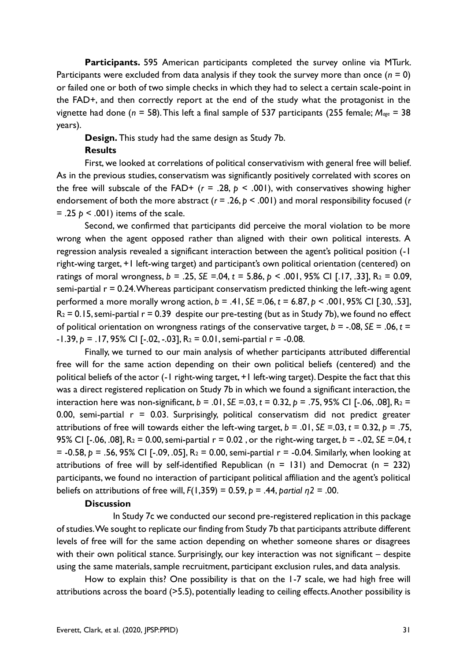**Participants.** 595 American participants completed the survey online via MTurk. Participants were excluded from data analysis if they took the survey more than once  $(n = 0)$ or failed one or both of two simple checks in which they had to select a certain scale-point in the FAD+, and then correctly report at the end of the study what the protagonist in the vignette had done (*n* = 58). This left a final sample of 537 participants (255 female; *Mage* = 38 years).

**Design.** This study had the same design as Study 7b.

#### **Results**

First, we looked at correlations of political conservativism with general free will belief. As in the previous studies, conservatism was significantly positively correlated with scores on the free will subscale of the FAD+  $(r = .28, p < .001)$ , with conservatives showing higher endorsement of both the more abstract (*r* = .26, *p* < .001) and moral responsibility focused (*r*  $= .25$   $p < .001$ ) items of the scale.

Second, we confirmed that participants did perceive the moral violation to be more wrong when the agent opposed rather than aligned with their own political interests. A regression analysis revealed a significant interaction between the agent's political position (-1 right-wing target, +1 left-wing target) and participant's own political orientation (centered) on ratings of moral wrongness, *b* = .25, *SE* =.04, *t* = 5.86, *p* < .001, 95% CI [.17, .33], R<sup>2</sup> = 0.09, semi-partial  $r = 0.24$ . Whereas participant conservatism predicted thinking the left-wing agent performed a more morally wrong action, *b* = .41, *SE* =.06, *t* = 6.87, *p* < .001, 95% CI [.30, .53],  $R_2 = 0.15$ , semi-partial  $r = 0.39$  despite our pre-testing (but as in Study 7b), we found no effect of political orientation on wrongness ratings of the conservative target,  $b = -0.08$ ,  $SE = 0.06$ ,  $t =$  $-1.39, p = .17, 95\%$  CI [ $-.02, -.03$ ], R<sub>2</sub> = 0.01, semi-partial r =  $-.0.08$ .

Finally, we turned to our main analysis of whether participants attributed differential free will for the same action depending on their own political beliefs (centered) and the political beliefs of the actor (-1 right-wing target, +1 left-wing target). Despite the fact that this was a direct registered replication on Study 7b in which we found a significant interaction, the interaction here was non-significant,  $b = .01$ ,  $SE = .03$ ,  $t = 0.32$ ,  $p = .75$ , 95% CI [-.06, .08],  $R_2 =$ 0.00, semi-partial  $r = 0.03$ . Surprisingly, political conservatism did not predict greater attributions of free will towards either the left-wing target,  $b = .01$ ,  $SE = .03$ ,  $t = 0.32$ ,  $p = .75$ , 95% CI [-.06, .08], R<sup>2</sup> = 0.00, semi-partial r = 0.02 , or the right-wing target, *b* = -.02, *SE* =.04, *t*  = -0.58, *p* = .56, 95% CI [-.09, .05], R<sup>2</sup> = 0.00, semi-partial r = -0.04. Similarly, when looking at attributions of free will by self-identified Republican ( $n = 131$ ) and Democrat ( $n = 232$ ) participants, we found no interaction of participant political affiliation and the agent's political beliefs on attributions of free will, *F*(1,359) = 0.59, *p* = .44, *partial η2* = .00.

#### **Discussion**

In Study 7c we conducted our second pre-registered replication in this package of studies. We sought to replicate our finding from Study 7b that participants attribute different levels of free will for the same action depending on whether someone shares or disagrees with their own political stance. Surprisingly, our key interaction was not significant – despite using the same materials, sample recruitment, participant exclusion rules, and data analysis.

How to explain this? One possibility is that on the 1-7 scale, we had high free will attributions across the board (>5.5), potentially leading to ceiling effects. Another possibility is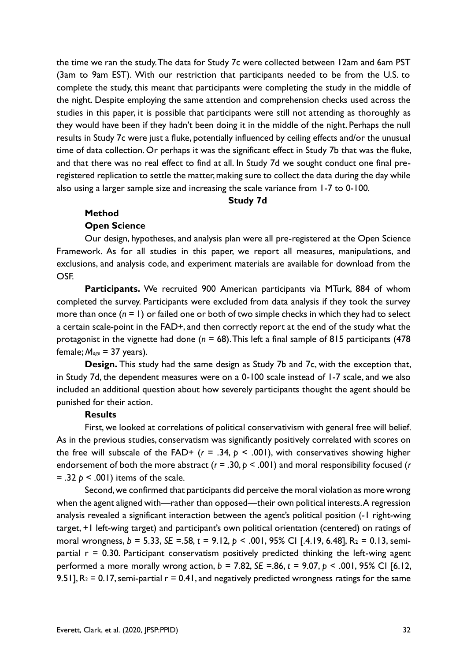the time we ran the study. The data for Study 7c were collected between 12am and 6am PST (3am to 9am EST). With our restriction that participants needed to be from the U.S. to complete the study, this meant that participants were completing the study in the middle of the night. Despite employing the same attention and comprehension checks used across the studies in this paper, it is possible that participants were still not attending as thoroughly as they would have been if they hadn't been doing it in the middle of the night. Perhaps the null results in Study 7c were just a fluke, potentially influenced by ceiling effects and/or the unusual time of data collection. Or perhaps it was the significant effect in Study 7b that was the fluke, and that there was no real effect to find at all. In Study 7d we sought conduct one final preregistered replication to settle the matter, making sure to collect the data during the day while also using a larger sample size and increasing the scale variance from 1-7 to 0-100.

#### **Study 7d**

#### **Method**

#### **Open Science**

Our design, hypotheses, and analysis plan were all pre-registered at the Open Science Framework. As for all studies in this paper, we report all measures, manipulations, and exclusions, and analysis code, and experiment materials are available for download from the OSF.

**Participants.** We recruited 900 American participants via MTurk, 884 of whom completed the survey. Participants were excluded from data analysis if they took the survey more than once (*n* = 1) or failed one or both of two simple checks in which they had to select a certain scale-point in the FAD+, and then correctly report at the end of the study what the protagonist in the vignette had done (*n* = 68). This left a final sample of 815 participants (478 female; *Mage* = 37 years).

**Design.** This study had the same design as Study 7b and 7c, with the exception that, in Study 7d, the dependent measures were on a 0-100 scale instead of 1-7 scale, and we also included an additional question about how severely participants thought the agent should be punished for their action.

#### **Results**

First, we looked at correlations of political conservativism with general free will belief. As in the previous studies, conservatism was significantly positively correlated with scores on the free will subscale of the FAD+  $(r = .34, p < .001)$ , with conservatives showing higher endorsement of both the more abstract (*r* = .30, *p* < .001) and moral responsibility focused (*r*  $=$  .32  $p \le 0.001$ ) items of the scale.

Second, we confirmed that participants did perceive the moral violation as more wrong when the agent aligned with—rather than opposed—their own political interests. A regression analysis revealed a significant interaction between the agent's political position (-1 right-wing target, +1 left-wing target) and participant's own political orientation (centered) on ratings of moral wrongness, *b* = 5.33, *SE* =.58, *t* = 9.12, *p* < .001, 95% CI [.4.19, 6.48], R<sup>2</sup> = 0.13, semipartial  $r = 0.30$ . Participant conservatism positively predicted thinking the left-wing agent performed a more morally wrong action, *b* = 7.82, *SE* =.86, *t* = 9.07, *p* < .001, 95% CI [6.12, 9.51],  $R_2 = 0.17$ , semi-partial  $r = 0.41$ , and negatively predicted wrongness ratings for the same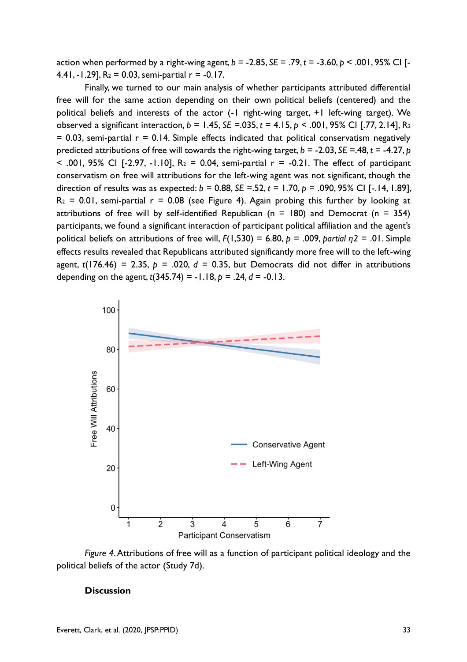action when performed by a right-wing agent, *b* = -2.85, *SE* = .79, *t* = -3.60, *p* < .001, 95% CI [- 4.41,  $-1.29$ ],  $R_2 = 0.03$ , semi-partial  $r = -0.17$ .

Finally, we turned to our main analysis of whether participants attributed differential free will for the same action depending on their own political beliefs (centered) and the political beliefs and interests of the actor (-1 right-wing target, +1 left-wing target). We observed a significant interaction, *b* = 1.45, *SE* =.035, *t* = 4.15, *p* < .001, 95% CI [.77, 2.14], R<sup>2</sup>  $= 0.03$ , semi-partial  $r = 0.14$ . Simple effects indicated that political conservatism negatively predicted attributions of free will towards the right-wing target, *b* = -2.03, *SE* =.48, *t* = -4.27, *p*   $\le$  .001, 95% CI [-2.97, -1.10], R<sub>2</sub> = 0.04, semi-partial r = -0.21. The effect of participant conservatism on free will attributions for the left-wing agent was not significant, though the direction of results was as expected: *b* = 0.88, *SE* =.52, *t* = 1.70, *p* = .090, 95% CI [-.14, 1.89],  $R_2$  = 0.01, semi-partial  $r = 0.08$  (see Figure 4). Again probing this further by looking at attributions of free will by self-identified Republican ( $n = 180$ ) and Democrat ( $n = 354$ ) participants, we found a significant interaction of participant political affiliation and the agent's political beliefs on attributions of free will, *F*(1,530) = 6.80, *p* = .009, *partial η2* = .01. Simple effects results revealed that Republicans attributed significantly more free will to the left-wing agent,  $t(176.46) = 2.35$ ,  $p = .020$ ,  $d = 0.35$ , but Democrats did not differ in attributions depending on the agent,  $t(345.74) = -1.18$ ,  $p = .24$ ,  $d = -0.13$ .



*Figure 4*. Attributions of free will as a function of participant political ideology and the political beliefs of the actor (Study 7d).

#### **Discussion**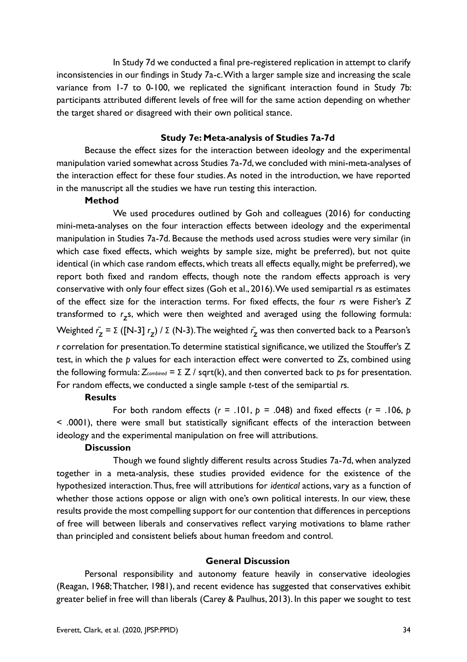In Study 7d we conducted a final pre-registered replication in attempt to clarify inconsistencies in our findings in Study 7a-c. With a larger sample size and increasing the scale variance from 1-7 to 0-100, we replicated the significant interaction found in Study 7b: participants attributed different levels of free will for the same action depending on whether the target shared or disagreed with their own political stance.

#### **Study 7e: Meta-analysis of Studies 7a-7d**

Because the effect sizes for the interaction between ideology and the experimental manipulation varied somewhat across Studies 7a-7d, we concluded with mini-meta-analyses of the interaction effect for these four studies. As noted in the introduction, we have reported in the manuscript all the studies we have run testing this interaction.

#### **Method**

We used procedures outlined by Goh and colleagues (2016) for conducting mini-meta-analyses on the four interaction effects between ideology and the experimental manipulation in Studies 7a-7d. Because the methods used across studies were very similar (in which case fixed effects, which weights by sample size, might be preferred), but not quite identical (in which case random effects, which treats all effects equally, might be preferred), we report both fixed and random effects, though note the random effects approach is very conservative with only four effect sizes (Goh et al., 2016). We used semipartial *r*s as estimates of the effect size for the interaction terms. For fixed effects, the four *r*s were Fisher's *Z* transformed to *r z* s, which were then weighted and averaged using the following formula: Weighted *r̄ z* = Σ ([N-3] *r z* ) / Σ (N-3). The weighted *r̄ z* was then converted back to a Pearson's *r* correlation for presentation. To determine statistical significance, we utilized the Stouffer's Z test, in which the *p* values for each interaction effect were converted to *Z*s, combined using the following formula: *Zcombined* = Σ Z / sqrt(k), and then converted back to *p*s for presentation. For random effects, we conducted a single sample *t*-test of the semipartial *r*s.

#### **Results**

For both random effects  $(r = .101, p = .048)$  and fixed effects  $(r = .106, p$ < .0001), there were small but statistically significant effects of the interaction between ideology and the experimental manipulation on free will attributions.

#### **Discussion**

Though we found slightly different results across Studies 7a-7d, when analyzed together in a meta-analysis, these studies provided evidence for the existence of the hypothesized interaction. Thus, free will attributions for *identical* actions, vary as a function of whether those actions oppose or align with one's own political interests. In our view, these results provide the most compelling support for our contention that differences in perceptions of free will between liberals and conservatives reflect varying motivations to blame rather than principled and consistent beliefs about human freedom and control.

#### **General Discussion**

Personal responsibility and autonomy feature heavily in conservative ideologies (Reagan, 1968; Thatcher, 1981), and recent evidence has suggested that conservatives exhibit greater belief in free will than liberals (Carey & Paulhus, 2013). In this paper we sought to test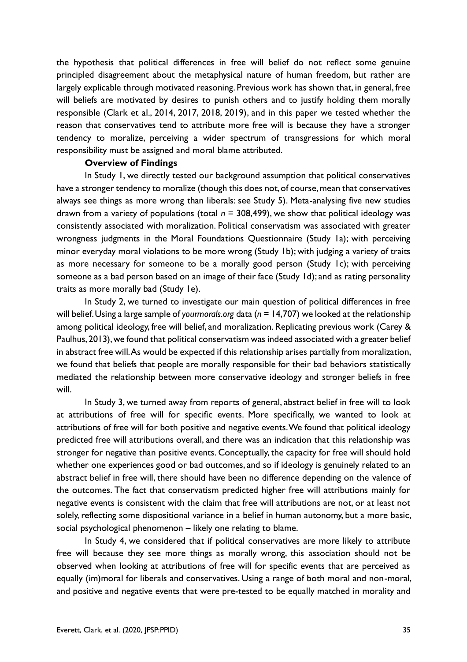the hypothesis that political differences in free will belief do not reflect some genuine principled disagreement about the metaphysical nature of human freedom, but rather are largely explicable through motivated reasoning. Previous work has shown that, in general, free will beliefs are motivated by desires to punish others and to justify holding them morally responsible (Clark et al., 2014, 2017, 2018, 2019), and in this paper we tested whether the reason that conservatives tend to attribute more free will is because they have a stronger tendency to moralize, perceiving a wider spectrum of transgressions for which moral responsibility must be assigned and moral blame attributed.

#### **Overview of Findings**

In Study 1, we directly tested our background assumption that political conservatives have a stronger tendency to moralize (though this does not, of course, mean that conservatives always see things as more wrong than liberals: see Study 5). Meta-analysing five new studies drawn from a variety of populations (total *n* = 308,499), we show that political ideology was consistently associated with moralization. Political conservatism was associated with greater wrongness judgments in the Moral Foundations Questionnaire (Study 1a); with perceiving minor everyday moral violations to be more wrong (Study 1b); with judging a variety of traits as more necessary for someone to be a morally good person (Study 1c); with perceiving someone as a bad person based on an image of their face (Study 1d); and as rating personality traits as more morally bad (Study 1e).

In Study 2, we turned to investigate our main question of political differences in free will belief. Using a large sample of *yourmorals.org* data (*n* = 14,707) we looked at the relationship among political ideology, free will belief, and moralization. Replicating previous work (Carey & Paulhus, 2013), we found that political conservatism was indeed associated with a greater belief in abstract free will. As would be expected if this relationship arises partially from moralization, we found that beliefs that people are morally responsible for their bad behaviors statistically mediated the relationship between more conservative ideology and stronger beliefs in free will.

In Study 3, we turned away from reports of general, abstract belief in free will to look at attributions of free will for specific events. More specifically, we wanted to look at attributions of free will for both positive and negative events. We found that political ideology predicted free will attributions overall, and there was an indication that this relationship was stronger for negative than positive events. Conceptually, the capacity for free will should hold whether one experiences good or bad outcomes, and so if ideology is genuinely related to an abstract belief in free will, there should have been no difference depending on the valence of the outcomes. The fact that conservatism predicted higher free will attributions mainly for negative events is consistent with the claim that free will attributions are not, or at least not solely, reflecting some dispositional variance in a belief in human autonomy, but a more basic, social psychological phenomenon – likely one relating to blame.

In Study 4, we considered that if political conservatives are more likely to attribute free will because they see more things as morally wrong, this association should not be observed when looking at attributions of free will for specific events that are perceived as equally (im)moral for liberals and conservatives. Using a range of both moral and non-moral, and positive and negative events that were pre-tested to be equally matched in morality and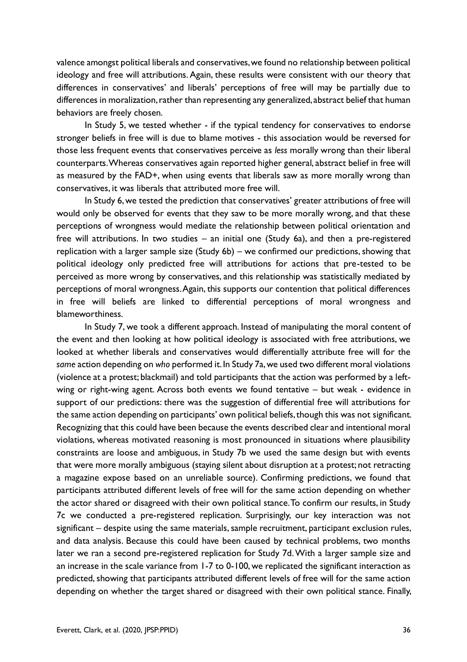valence amongst political liberals and conservatives, we found no relationship between political ideology and free will attributions. Again, these results were consistent with our theory that differences in conservatives' and liberals' perceptions of free will may be partially due to differences in moralization, rather than representing any generalized, abstract belief that human behaviors are freely chosen.

In Study 5, we tested whether - if the typical tendency for conservatives to endorse stronger beliefs in free will is due to blame motives - this association would be reversed for those less frequent events that conservatives perceive as *less* morally wrong than their liberal counterparts. Whereas conservatives again reported higher general, abstract belief in free will as measured by the FAD+, when using events that liberals saw as more morally wrong than conservatives, it was liberals that attributed more free will.

In Study 6, we tested the prediction that conservatives' greater attributions of free will would only be observed for events that they saw to be more morally wrong, and that these perceptions of wrongness would mediate the relationship between political orientation and free will attributions. In two studies – an initial one (Study 6a), and then a pre-registered replication with a larger sample size (Study 6b) – we confirmed our predictions, showing that political ideology only predicted free will attributions for actions that pre-tested to be perceived as more wrong by conservatives, and this relationship was statistically mediated by perceptions of moral wrongness. Again, this supports our contention that political differences in free will beliefs are linked to differential perceptions of moral wrongness and blameworthiness.

In Study 7, we took a different approach. Instead of manipulating the moral content of the event and then looking at how political ideology is associated with free attributions, we looked at whether liberals and conservatives would differentially attribute free will for the *same* action depending on *who* performed it. In Study 7a, we used two different moral violations (violence at a protest; blackmail) and told participants that the action was performed by a leftwing or right-wing agent. Across both events we found tentative – but weak - evidence in support of our predictions: there was the suggestion of differential free will attributions for the same action depending on participants' own political beliefs, though this was not significant. Recognizing that this could have been because the events described clear and intentional moral violations, whereas motivated reasoning is most pronounced in situations where plausibility constraints are loose and ambiguous, in Study 7b we used the same design but with events that were more morally ambiguous (staying silent about disruption at a protest; not retracting a magazine expose based on an unreliable source). Confirming predictions, we found that participants attributed different levels of free will for the same action depending on whether the actor shared or disagreed with their own political stance. To confirm our results, in Study 7c we conducted a pre-registered replication. Surprisingly, our key interaction was not significant – despite using the same materials, sample recruitment, participant exclusion rules, and data analysis. Because this could have been caused by technical problems, two months later we ran a second pre-registered replication for Study 7d. With a larger sample size and an increase in the scale variance from 1-7 to 0-100, we replicated the significant interaction as predicted, showing that participants attributed different levels of free will for the same action depending on whether the target shared or disagreed with their own political stance. Finally,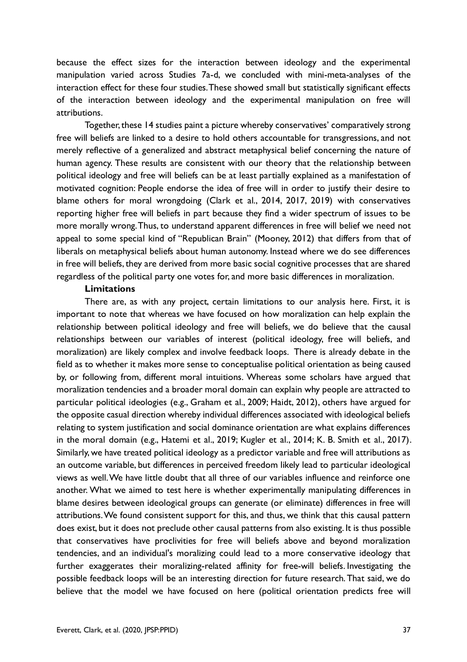because the effect sizes for the interaction between ideology and the experimental manipulation varied across Studies 7a-d, we concluded with mini-meta-analyses of the interaction effect for these four studies. These showed small but statistically significant effects of the interaction between ideology and the experimental manipulation on free will attributions.

Together, these 14 studies paint a picture whereby conservatives' comparatively strong free will beliefs are linked to a desire to hold others accountable for transgressions, and not merely reflective of a generalized and abstract metaphysical belief concerning the nature of human agency. These results are consistent with our theory that the relationship between political ideology and free will beliefs can be at least partially explained as a manifestation of motivated cognition: People endorse the idea of free will in order to justify their desire to blame others for moral wrongdoing (Clark et al., 2014, 2017, 2019) with conservatives reporting higher free will beliefs in part because they find a wider spectrum of issues to be more morally wrong. Thus, to understand apparent differences in free will belief we need not appeal to some special kind of "Republican Brain" (Mooney, 2012) that differs from that of liberals on metaphysical beliefs about human autonomy. Instead where we do see differences in free will beliefs, they are derived from more basic social cognitive processes that are shared regardless of the political party one votes for, and more basic differences in moralization.

#### **Limitations**

There are, as with any project, certain limitations to our analysis here. First, it is important to note that whereas we have focused on how moralization can help explain the relationship between political ideology and free will beliefs, we do believe that the causal relationships between our variables of interest (political ideology, free will beliefs, and moralization) are likely complex and involve feedback loops. There is already debate in the field as to whether it makes more sense to conceptualise political orientation as being caused by, or following from, different moral intuitions. Whereas some scholars have argued that moralization tendencies and a broader moral domain can explain why people are attracted to particular political ideologies (e.g., Graham et al., 2009; Haidt, 2012), others have argued for the opposite casual direction whereby individual differences associated with ideological beliefs relating to system justification and social dominance orientation are what explains differences in the moral domain (e.g., Hatemi et al., 2019; Kugler et al., 2014; K. B. Smith et al., 2017). Similarly, we have treated political ideology as a predictor variable and free will attributions as an outcome variable, but differences in perceived freedom likely lead to particular ideological views as well. We have little doubt that all three of our variables influence and reinforce one another. What we aimed to test here is whether experimentally manipulating differences in blame desires between ideological groups can generate (or eliminate) differences in free will attributions. We found consistent support for this, and thus, we think that this causal pattern does exist, but it does not preclude other causal patterns from also existing. It is thus possible that conservatives have proclivities for free will beliefs above and beyond moralization tendencies, and an individual's moralizing could lead to a more conservative ideology that further exaggerates their moralizing-related affinity for free-will beliefs. Investigating the possible feedback loops will be an interesting direction for future research. That said, we do believe that the model we have focused on here (political orientation predicts free will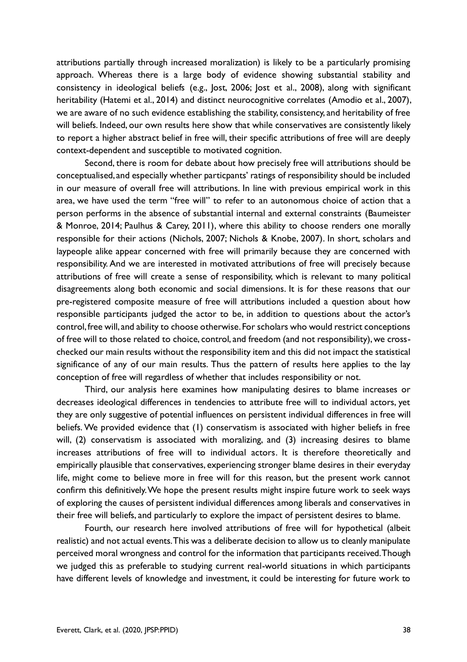attributions partially through increased moralization) is likely to be a particularly promising approach. Whereas there is a large body of evidence showing substantial stability and consistency in ideological beliefs (e.g., Jost, 2006; Jost et al., 2008), along with significant heritability (Hatemi et al., 2014) and distinct neurocognitive correlates (Amodio et al., 2007), we are aware of no such evidence establishing the stability, consistency, and heritability of free will beliefs. Indeed, our own results here show that while conservatives are consistently likely to report a higher abstract belief in free will, their specific attributions of free will are deeply context-dependent and susceptible to motivated cognition.

Second, there is room for debate about how precisely free will attributions should be conceptualised, and especially whether particpants' ratings of responsibility should be included in our measure of overall free will attributions. In line with previous empirical work in this area, we have used the term "free will" to refer to an autonomous choice of action that a person performs in the absence of substantial internal and external constraints (Baumeister & Monroe, 2014; Paulhus & Carey, 2011), where this ability to choose renders one morally responsible for their actions (Nichols, 2007; Nichols & Knobe, 2007). In short, scholars and laypeople alike appear concerned with free will primarily because they are concerned with responsibility. And we are interested in motivated attributions of free will precisely because attributions of free will create a sense of responsibility, which is relevant to many political disagreements along both economic and social dimensions. It is for these reasons that our pre-registered composite measure of free will attributions included a question about how responsible participants judged the actor to be, in addition to questions about the actor's control, free will, and ability to choose otherwise. For scholars who would restrict conceptions of free will to those related to choice, control, and freedom (and not responsibility), we crosschecked our main results without the responsibility item and this did not impact the statistical significance of any of our main results. Thus the pattern of results here applies to the lay conception of free will regardless of whether that includes responsibility or not.

Third, our analysis here examines how manipulating desires to blame increases or decreases ideological differences in tendencies to attribute free will to individual actors, yet they are only suggestive of potential influences on persistent individual differences in free will beliefs. We provided evidence that (1) conservatism is associated with higher beliefs in free will, (2) conservatism is associated with moralizing, and (3) increasing desires to blame increases attributions of free will to individual actors. It is therefore theoretically and empirically plausible that conservatives, experiencing stronger blame desires in their everyday life, might come to believe more in free will for this reason, but the present work cannot confirm this definitively. We hope the present results might inspire future work to seek ways of exploring the causes of persistent individual differences among liberals and conservatives in their free will beliefs, and particularly to explore the impact of persistent desires to blame.

Fourth, our research here involved attributions of free will for hypothetical (albeit realistic) and not actual events. This was a deliberate decision to allow us to cleanly manipulate perceived moral wrongness and control for the information that participants received. Though we judged this as preferable to studying current real-world situations in which participants have different levels of knowledge and investment, it could be interesting for future work to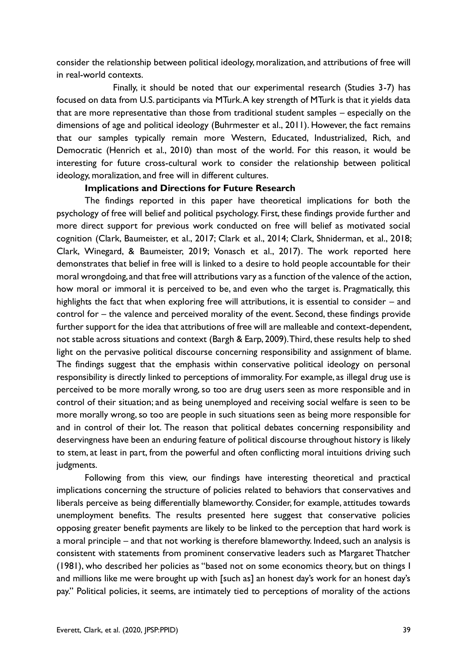consider the relationship between political ideology, moralization, and attributions of free will in real-world contexts.

Finally, it should be noted that our experimental research (Studies 3-7) has focused on data from U.S. participants via MTurk. A key strength of MTurk is that it yields data that are more representative than those from traditional student samples – especially on the dimensions of age and political ideology (Buhrmester et al., 2011). However, the fact remains that our samples typically remain more Western, Educated, Industrialized, Rich, and Democratic (Henrich et al., 2010) than most of the world. For this reason, it would be interesting for future cross-cultural work to consider the relationship between political ideology, moralization, and free will in different cultures.

#### **Implications and Directions for Future Research**

The findings reported in this paper have theoretical implications for both the psychology of free will belief and political psychology. First, these findings provide further and more direct support for previous work conducted on free will belief as motivated social cognition (Clark, Baumeister, et al., 2017; Clark et al., 2014; Clark, Shniderman, et al., 2018; Clark, Winegard, & Baumeister, 2019; Vonasch et al., 2017). The work reported here demonstrates that belief in free will is linked to a desire to hold people accountable for their moral wrongdoing, and that free will attributions vary as a function of the valence of the action, how moral or immoral it is perceived to be, and even who the target is. Pragmatically, this highlights the fact that when exploring free will attributions, it is essential to consider – and control for – the valence and perceived morality of the event. Second, these findings provide further support for the idea that attributions of free will are malleable and context-dependent, not stable across situations and context (Bargh & Earp, 2009). Third, these results help to shed light on the pervasive political discourse concerning responsibility and assignment of blame. The findings suggest that the emphasis within conservative political ideology on personal responsibility is directly linked to perceptions of immorality. For example, as illegal drug use is perceived to be more morally wrong, so too are drug users seen as more responsible and in control of their situation; and as being unemployed and receiving social welfare is seen to be more morally wrong, so too are people in such situations seen as being more responsible for and in control of their lot. The reason that political debates concerning responsibility and deservingness have been an enduring feature of political discourse throughout history is likely to stem, at least in part, from the powerful and often conflicting moral intuitions driving such judgments.

Following from this view, our findings have interesting theoretical and practical implications concerning the structure of policies related to behaviors that conservatives and liberals perceive as being differentially blameworthy. Consider, for example, attitudes towards unemployment benefits. The results presented here suggest that conservative policies opposing greater benefit payments are likely to be linked to the perception that hard work is a moral principle – and that not working is therefore blameworthy. Indeed, such an analysis is consistent with statements from prominent conservative leaders such as Margaret Thatcher (1981), who described her policies as "based not on some economics theory, but on things I and millions like me were brought up with [such as] an honest day's work for an honest day's pay." Political policies, it seems, are intimately tied to perceptions of morality of the actions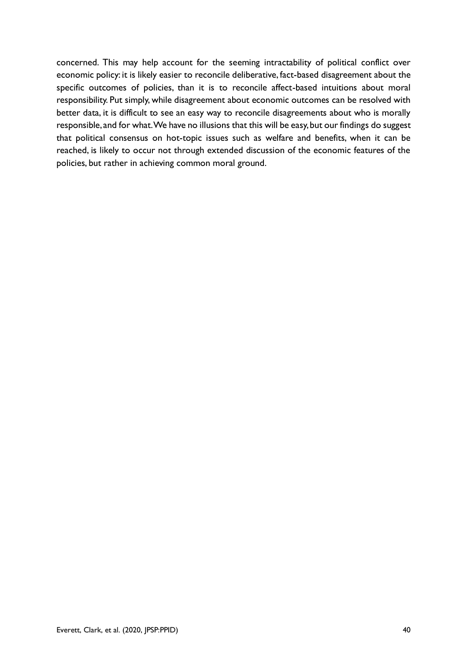concerned. This may help account for the seeming intractability of political conflict over economic policy: it is likely easier to reconcile deliberative, fact-based disagreement about the specific outcomes of policies, than it is to reconcile affect-based intuitions about moral responsibility. Put simply, while disagreement about economic outcomes can be resolved with better data, it is difficult to see an easy way to reconcile disagreements about who is morally responsible, and for what. We have no illusions that this will be easy, but our findings do suggest that political consensus on hot-topic issues such as welfare and benefits, when it can be reached, is likely to occur not through extended discussion of the economic features of the policies, but rather in achieving common moral ground.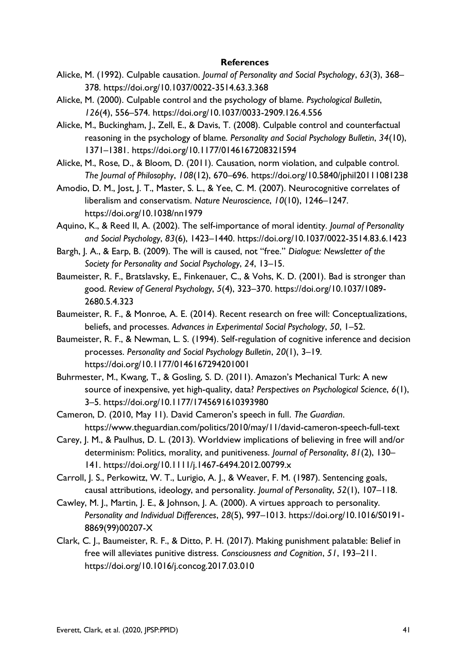#### **References**

- Alicke, M. (1992). Culpable causation. *Journal of Personality and Social Psychology*, *63*(3), 368– 378. https://doi.org/10.1037/0022-3514.63.3.368
- Alicke, M. (2000). Culpable control and the psychology of blame. *Psychological Bulletin*, *126*(4), 556–574. https://doi.org/10.1037/0033-2909.126.4.556
- Alicke, M., Buckingham, J., Zell, E., & Davis, T. (2008). Culpable control and counterfactual reasoning in the psychology of blame. *Personality and Social Psychology Bulletin*, *34*(10), 1371–1381. https://doi.org/10.1177/0146167208321594
- Alicke, M., Rose, D., & Bloom, D. (2011). Causation, norm violation, and culpable control. *The Journal of Philosophy*, *108*(12), 670–696. https://doi.org/10.5840/jphil20111081238
- Amodio, D. M., Jost, J. T., Master, S. L., & Yee, C. M. (2007). Neurocognitive correlates of liberalism and conservatism. *Nature Neuroscience*, *10*(10), 1246–1247. https://doi.org/10.1038/nn1979
- Aquino, K., & Reed II, A. (2002). The self-importance of moral identity. *Journal of Personality and Social Psychology*, *83*(6), 1423–1440. https://doi.org/10.1037/0022-3514.83.6.1423
- Bargh, J. A., & Earp, B. (2009). The will is caused, not "free." *Dialogue: Newsletter of the Society for Personality and Social Psychology*, *24*, 13–15.
- Baumeister, R. F., Bratslavsky, E., Finkenauer, C., & Vohs, K. D. (2001). Bad is stronger than good. *Review of General Psychology*, *5*(4), 323–370. https://doi.org/10.1037/1089- 2680.5.4.323
- Baumeister, R. F., & Monroe, A. E. (2014). Recent research on free will: Conceptualizations, beliefs, and processes. *Advances in Experimental Social Psychology*, *50*, 1–52.
- Baumeister, R. F., & Newman, L. S. (1994). Self-regulation of cognitive inference and decision processes. *Personality and Social Psychology Bulletin*, *20*(1), 3–19. https://doi.org/10.1177/0146167294201001
- Buhrmester, M., Kwang, T., & Gosling, S. D. (2011). Amazon's Mechanical Turk: A new source of inexpensive, yet high-quality, data? *Perspectives on Psychological Science*, *6*(1), 3–5. https://doi.org/10.1177/1745691610393980
- Cameron, D. (2010, May 11). David Cameron's speech in full. *The Guardian*. https://www.theguardian.com/politics/2010/may/11/david-cameron-speech-full-text
- Carey, J. M., & Paulhus, D. L. (2013). Worldview implications of believing in free will and/or determinism: Politics, morality, and punitiveness. *Journal of Personality*, *81*(2), 130– 141. https://doi.org/10.1111/j.1467-6494.2012.00799.x
- Carroll, J. S., Perkowitz, W. T., Lurigio, A. J., & Weaver, F. M. (1987). Sentencing goals, causal attributions, ideology, and personality. *Journal of Personality*, *52*(1), 107–118.
- Cawley, M. J., Martin, J. E., & Johnson, J. A. (2000). A virtues approach to personality. *Personality and Individual Differences*, *28*(5), 997–1013. https://doi.org/10.1016/S0191- 8869(99)00207-X
- Clark, C. J., Baumeister, R. F., & Ditto, P. H. (2017). Making punishment palatable: Belief in free will alleviates punitive distress. *Consciousness and Cognition*, *51*, 193–211. https://doi.org/10.1016/j.concog.2017.03.010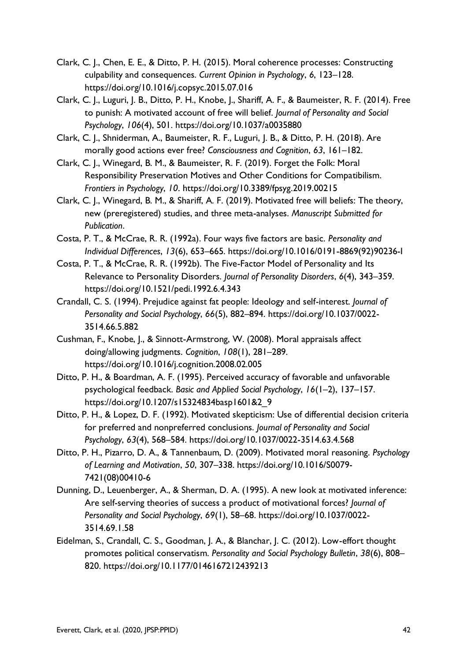- Clark, C. J., Chen, E. E., & Ditto, P. H. (2015). Moral coherence processes: Constructing culpability and consequences. *Current Opinion in Psychology*, *6*, 123–128. https://doi.org/10.1016/j.copsyc.2015.07.016
- Clark, C. J., Luguri, J. B., Ditto, P. H., Knobe, J., Shariff, A. F., & Baumeister, R. F. (2014). Free to punish: A motivated account of free will belief. *Journal of Personality and Social Psychology*, *106*(4), 501. https://doi.org/10.1037/a0035880
- Clark, C. J., Shniderman, A., Baumeister, R. F., Luguri, J. B., & Ditto, P. H. (2018). Are morally good actions ever free? *Consciousness and Cognition*, *63*, 161–182.
- Clark, C. J., Winegard, B. M., & Baumeister, R. F. (2019). Forget the Folk: Moral Responsibility Preservation Motives and Other Conditions for Compatibilism. *Frontiers in Psychology*, *10*. https://doi.org/10.3389/fpsyg.2019.00215
- Clark, C. J., Winegard, B. M., & Shariff, A. F. (2019). Motivated free will beliefs: The theory, new (preregistered) studies, and three meta-analyses. *Manuscript Submitted for Publication*.
- Costa, P. T., & McCrae, R. R. (1992a). Four ways five factors are basic. *Personality and Individual Differences*, *13*(6), 653–665. https://doi.org/10.1016/0191-8869(92)90236-I
- Costa, P. T., & McCrae, R. R. (1992b). The Five-Factor Model of Personality and Its Relevance to Personality Disorders. *Journal of Personality Disorders*, *6*(4), 343–359. https://doi.org/10.1521/pedi.1992.6.4.343
- Crandall, C. S. (1994). Prejudice against fat people: Ideology and self-interest. *Journal of Personality and Social Psychology*, *66*(5), 882–894. https://doi.org/10.1037/0022- 3514.66.5.882
- Cushman, F., Knobe, J., & Sinnott-Armstrong, W. (2008). Moral appraisals affect doing/allowing judgments. *Cognition*, *108*(1), 281–289. https://doi.org/10.1016/j.cognition.2008.02.005
- Ditto, P. H., & Boardman, A. F. (1995). Perceived accuracy of favorable and unfavorable psychological feedback. *Basic and Applied Social Psychology*, *16*(1–2), 137–157. https://doi.org/10.1207/s15324834basp1601&2\_9
- Ditto, P. H., & Lopez, D. F. (1992). Motivated skepticism: Use of differential decision criteria for preferred and nonpreferred conclusions. *Journal of Personality and Social Psychology*, *63*(4), 568–584. https://doi.org/10.1037/0022-3514.63.4.568
- Ditto, P. H., Pizarro, D. A., & Tannenbaum, D. (2009). Motivated moral reasoning. *Psychology of Learning and Motivation*, *50*, 307–338. https://doi.org/10.1016/S0079- 7421(08)00410-6
- Dunning, D., Leuenberger, A., & Sherman, D. A. (1995). A new look at motivated inference: Are self-serving theories of success a product of motivational forces? *Journal of Personality and Social Psychology*, *69*(1), 58–68. https://doi.org/10.1037/0022- 3514.69.1.58
- Eidelman, S., Crandall, C. S., Goodman, J. A., & Blanchar, J. C. (2012). Low-effort thought promotes political conservatism. *Personality and Social Psychology Bulletin*, *38*(6), 808– 820. https://doi.org/10.1177/0146167212439213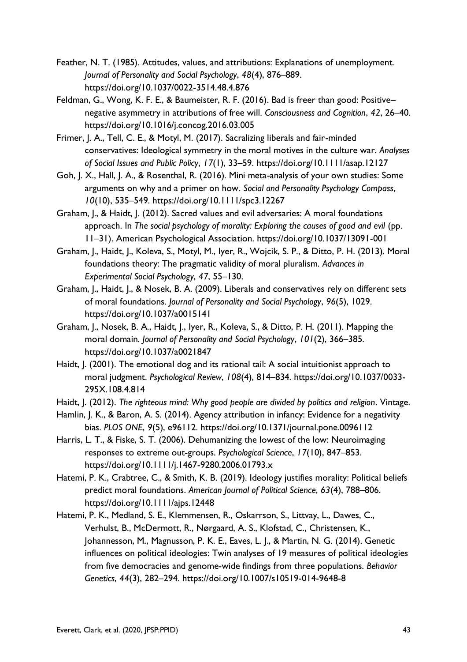- Feather, N. T. (1985). Attitudes, values, and attributions: Explanations of unemployment. *Journal of Personality and Social Psychology*, *48*(4), 876–889. https://doi.org/10.1037/0022-3514.48.4.876
- Feldman, G., Wong, K. F. E., & Baumeister, R. F. (2016). Bad is freer than good: Positive– negative asymmetry in attributions of free will. *Consciousness and Cognition*, *42*, 26–40. https://doi.org/10.1016/j.concog.2016.03.005
- Frimer, J. A., Tell, C. E., & Motyl, M. (2017). Sacralizing liberals and fair-minded conservatives: Ideological symmetry in the moral motives in the culture war. *Analyses of Social Issues and Public Policy*, *17*(1), 33–59. https://doi.org/10.1111/asap.12127
- Goh, J. X., Hall, J. A., & Rosenthal, R. (2016). Mini meta-analysis of your own studies: Some arguments on why and a primer on how. *Social and Personality Psychology Compass*, *10*(10), 535–549. https://doi.org/10.1111/spc3.12267
- Graham, J., & Haidt, J. (2012). Sacred values and evil adversaries: A moral foundations approach. In *The social psychology of morality: Exploring the causes of good and evil* (pp. 11–31). American Psychological Association. https://doi.org/10.1037/13091-001
- Graham, J., Haidt, J., Koleva, S., Motyl, M., Iyer, R., Wojcik, S. P., & Ditto, P. H. (2013). Moral foundations theory: The pragmatic validity of moral pluralism. *Advances in Experimental Social Psychology*, *47*, 55–130.
- Graham, J., Haidt, J., & Nosek, B. A. (2009). Liberals and conservatives rely on different sets of moral foundations. *Journal of Personality and Social Psychology*, *96*(5), 1029. https://doi.org/10.1037/a0015141
- Graham, J., Nosek, B. A., Haidt, J., Iyer, R., Koleva, S., & Ditto, P. H. (2011). Mapping the moral domain. *Journal of Personality and Social Psychology*, *101*(2), 366–385. https://doi.org/10.1037/a0021847
- Haidt, J. (2001). The emotional dog and its rational tail: A social intuitionist approach to moral judgment. *Psychological Review*, *108*(4), 814–834. https://doi.org/10.1037/0033- 295X.108.4.814
- Haidt, J. (2012). *The righteous mind: Why good people are divided by politics and religion*. Vintage.
- Hamlin, J. K., & Baron, A. S. (2014). Agency attribution in infancy: Evidence for a negativity bias. *PLOS ONE*, *9*(5), e96112. https://doi.org/10.1371/journal.pone.0096112
- Harris, L. T., & Fiske, S. T. (2006). Dehumanizing the lowest of the low: Neuroimaging responses to extreme out-groups. *Psychological Science*, *17*(10), 847–853. https://doi.org/10.1111/j.1467-9280.2006.01793.x
- Hatemi, P. K., Crabtree, C., & Smith, K. B. (2019). Ideology justifies morality: Political beliefs predict moral foundations. *American Journal of Political Science*, *63*(4), 788–806. https://doi.org/10.1111/ajps.12448
- Hatemi, P. K., Medland, S. E., Klemmensen, R., Oskarrson, S., Littvay, L., Dawes, C., Verhulst, B., McDermott, R., Nørgaard, A. S., Klofstad, C., Christensen, K., Johannesson, M., Magnusson, P. K. E., Eaves, L. J., & Martin, N. G. (2014). Genetic influences on political ideologies: Twin analyses of 19 measures of political ideologies from five democracies and genome-wide findings from three populations. *Behavior Genetics*, *44*(3), 282–294. https://doi.org/10.1007/s10519-014-9648-8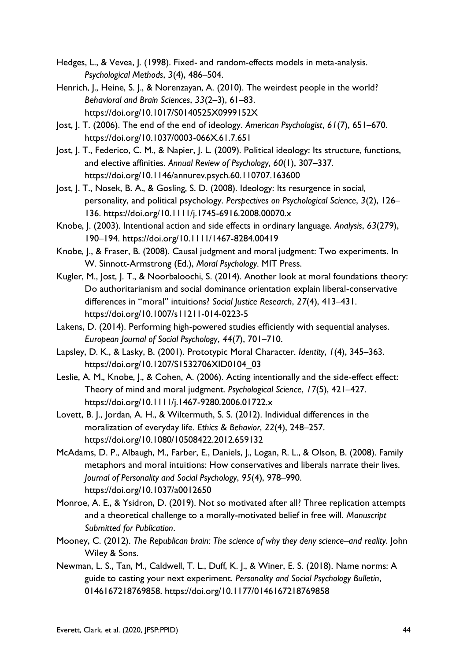Hedges, L., & Vevea, J. (1998). Fixed- and random-effects models in meta-analysis. *Psychological Methods*, *3*(4), 486–504.

- Henrich, J., Heine, S. J., & Norenzayan, A. (2010). The weirdest people in the world? *Behavioral and Brain Sciences*, *33*(2–3), 61–83. https://doi.org/10.1017/S0140525X0999152X
- Jost, J. T. (2006). The end of the end of ideology. *American Psychologist*, *61*(7), 651–670. https://doi.org/10.1037/0003-066X.61.7.651
- Jost, J. T., Federico, C. M., & Napier, J. L. (2009). Political ideology: Its structure, functions, and elective affinities. *Annual Review of Psychology*, *60*(1), 307–337. https://doi.org/10.1146/annurev.psych.60.110707.163600
- Jost, J. T., Nosek, B. A., & Gosling, S. D. (2008). Ideology: Its resurgence in social, personality, and political psychology. *Perspectives on Psychological Science*, *3*(2), 126– 136. https://doi.org/10.1111/j.1745-6916.2008.00070.x
- Knobe, J. (2003). Intentional action and side effects in ordinary language. *Analysis*, *63*(279), 190–194. https://doi.org/10.1111/1467-8284.00419
- Knobe, J., & Fraser, B. (2008). Causal judgment and moral judgment: Two experiments. In W. Sinnott-Armstrong (Ed.), *Moral Psychology*. MIT Press.
- Kugler, M., Jost, J. T., & Noorbaloochi, S. (2014). Another look at moral foundations theory: Do authoritarianism and social dominance orientation explain liberal-conservative differences in "moral" intuitions? *Social Justice Research*, *27*(4), 413–431. https://doi.org/10.1007/s11211-014-0223-5
- Lakens, D. (2014). Performing high-powered studies efficiently with sequential analyses. *European Journal of Social Psychology*, *44*(7), 701–710.
- Lapsley, D. K., & Lasky, B. (2001). Prototypic Moral Character. *Identity*, *1*(4), 345–363. https://doi.org/10.1207/S1532706XID0104\_03
- Leslie, A. M., Knobe, J., & Cohen, A. (2006). Acting intentionally and the side-effect effect: Theory of mind and moral judgment. *Psychological Science*, *17*(5), 421–427. https://doi.org/10.1111/j.1467-9280.2006.01722.x
- Lovett, B. J., Jordan, A. H., & Wiltermuth, S. S. (2012). Individual differences in the moralization of everyday life. *Ethics & Behavior*, *22*(4), 248–257. https://doi.org/10.1080/10508422.2012.659132
- McAdams, D. P., Albaugh, M., Farber, E., Daniels, J., Logan, R. L., & Olson, B. (2008). Family metaphors and moral intuitions: How conservatives and liberals narrate their lives. *Journal of Personality and Social Psychology*, *95*(4), 978–990. https://doi.org/10.1037/a0012650
- Monroe, A. E., & Ysidron, D. (2019). Not so motivated after all? Three replication attempts and a theoretical challenge to a morally-motivated belief in free will. *Manuscript Submitted for Publication*.
- Mooney, C. (2012). *The Republican brain: The science of why they deny science–and reality*. John Wiley & Sons.
- Newman, L. S., Tan, M., Caldwell, T. L., Duff, K. J., & Winer, E. S. (2018). Name norms: A guide to casting your next experiment. *Personality and Social Psychology Bulletin*, 0146167218769858. https://doi.org/10.1177/0146167218769858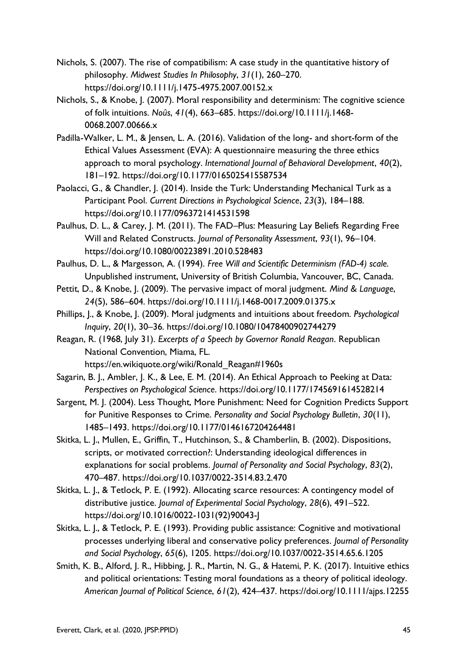- Nichols, S. (2007). The rise of compatibilism: A case study in the quantitative history of philosophy. *Midwest Studies In Philosophy*, *31*(1), 260–270. https://doi.org/10.1111/j.1475-4975.2007.00152.x
- Nichols, S., & Knobe, J. (2007). Moral responsibility and determinism: The cognitive science of folk intuitions. *Noûs*, *41*(4), 663–685. https://doi.org/10.1111/j.1468- 0068.2007.00666.x
- Padilla-Walker, L. M., & Jensen, L. A. (2016). Validation of the long- and short-form of the Ethical Values Assessment (EVA): A questionnaire measuring the three ethics approach to moral psychology. *International Journal of Behavioral Development*, *40*(2), 181–192. https://doi.org/10.1177/0165025415587534
- Paolacci, G., & Chandler, J. (2014). Inside the Turk: Understanding Mechanical Turk as a Participant Pool. *Current Directions in Psychological Science*, *23*(3), 184–188. https://doi.org/10.1177/0963721414531598
- Paulhus, D. L., & Carey, J. M. (2011). The FAD–Plus: Measuring Lay Beliefs Regarding Free Will and Related Constructs. *Journal of Personality Assessment*, *93*(1), 96–104. https://doi.org/10.1080/00223891.2010.528483
- Paulhus, D. L., & Margesson, A. (1994). *Free Will and Scientific Determinism (FAD-4) scale*. Unpublished instrument, University of British Columbia, Vancouver, BC, Canada.
- Pettit, D., & Knobe, J. (2009). The pervasive impact of moral judgment. *Mind & Language*, *24*(5), 586–604. https://doi.org/10.1111/j.1468-0017.2009.01375.x
- Phillips, J., & Knobe, J. (2009). Moral judgments and intuitions about freedom. *Psychological Inquiry*, *20*(1), 30–36. https://doi.org/10.1080/10478400902744279
- Reagan, R. (1968, July 31). *Excerpts of a Speech by Governor Ronald Reagan*. Republican National Convention, Miama, FL. https://en.wikiquote.org/wiki/Ronald\_Reagan#1960s
- Sagarin, B. J., Ambler, J. K., & Lee, E. M. (2014). An Ethical Approach to Peeking at Data: *Perspectives on Psychological Science*. https://doi.org/10.1177/1745691614528214
- Sargent, M. J. (2004). Less Thought, More Punishment: Need for Cognition Predicts Support for Punitive Responses to Crime. *Personality and Social Psychology Bulletin*, *30*(11), 1485–1493. https://doi.org/10.1177/0146167204264481
- Skitka, L. J., Mullen, E., Griffin, T., Hutchinson, S., & Chamberlin, B. (2002). Dispositions, scripts, or motivated correction?: Understanding ideological differences in explanations for social problems. *Journal of Personality and Social Psychology*, *83*(2), 470–487. https://doi.org/10.1037/0022-3514.83.2.470
- Skitka, L. J., & Tetlock, P. E. (1992). Allocating scarce resources: A contingency model of distributive justice. *Journal of Experimental Social Psychology*, *28*(6), 491–522. https://doi.org/10.1016/0022-1031(92)90043-J
- Skitka, L. J., & Tetlock, P. E. (1993). Providing public assistance: Cognitive and motivational processes underlying liberal and conservative policy preferences. *Journal of Personality and Social Psychology*, *65*(6), 1205. https://doi.org/10.1037/0022-3514.65.6.1205
- Smith, K. B., Alford, J. R., Hibbing, J. R., Martin, N. G., & Hatemi, P. K. (2017). Intuitive ethics and political orientations: Testing moral foundations as a theory of political ideology. *American Journal of Political Science*, *61*(2), 424–437. https://doi.org/10.1111/ajps.12255